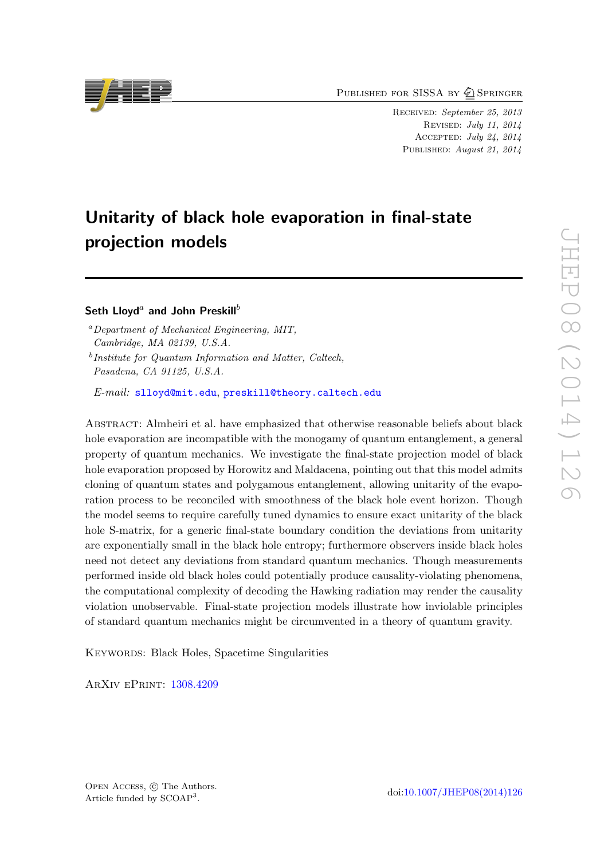PUBLISHED FOR SISSA BY 2 SPRINGER

Received: September 25, 2013 Revised: July 11, 2014 Accepted: July 24, 2014 PUBLISHED: August 21, 2014

# Unitarity of black hole evaporation in final-state projection models

Seth Lloyd<sup>a</sup> and John Preskill<sup>b</sup>

E-mail: [slloyd@mit.edu](mailto:slloyd@mit.edu), [preskill@theory.caltech.edu](mailto:preskill@theory.caltech.edu)

Abstract: Almheiri et al. have emphasized that otherwise reasonable beliefs about black hole evaporation are incompatible with the monogamy of quantum entanglement, a general property of quantum mechanics. We investigate the final-state projection model of black hole evaporation proposed by Horowitz and Maldacena, pointing out that this model admits cloning of quantum states and polygamous entanglement, allowing unitarity of the evaporation process to be reconciled with smoothness of the black hole event horizon. Though the model seems to require carefully tuned dynamics to ensure exact unitarity of the black hole S-matrix, for a generic final-state boundary condition the deviations from unitarity are exponentially small in the black hole entropy; furthermore observers inside black holes need not detect any deviations from standard quantum mechanics. Though measurements performed inside old black holes could potentially produce causality-violating phenomena, the computational complexity of decoding the Hawking radiation may render the causality violation unobservable. Final-state projection models illustrate how inviolable principles of standard quantum mechanics might be circumvented in a theory of quantum gravity.

Keywords: Black Holes, Spacetime Singularities

ArXiv ePrint: [1308.4209](http://arxiv.org/abs/1308.4209)



<sup>a</sup>Department of Mechanical Engineering, MIT, Cambridge, MA 02139, U.S.A. <sup>b</sup>Institute for Quantum Information and Matter, Caltech, Pasadena, CA 91125, U.S.A.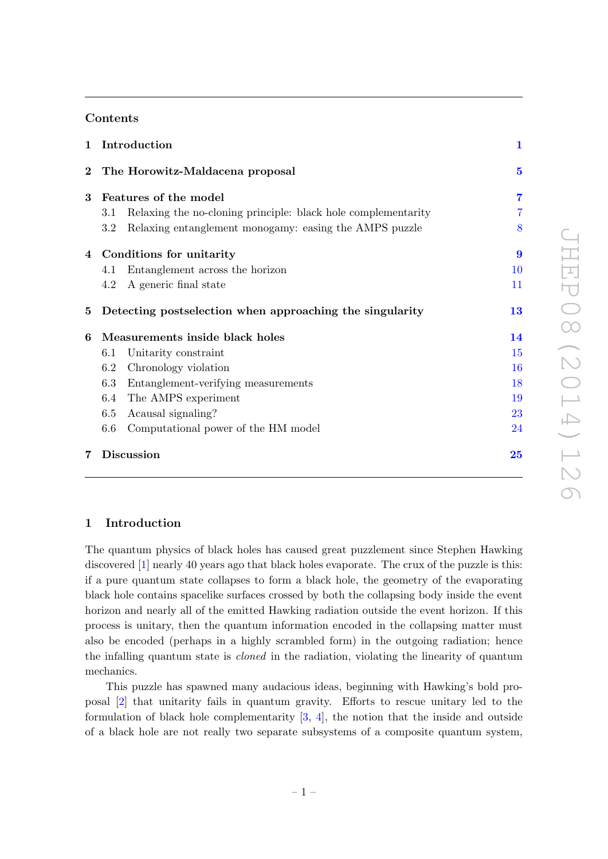# Contents

| $\mathbf{1}$   | Introduction                                                         | $\mathbf{1}$   |
|----------------|----------------------------------------------------------------------|----------------|
| $\overline{2}$ | The Horowitz-Maldacena proposal                                      | $\overline{5}$ |
| 3              | Features of the model                                                | 7              |
|                | Relaxing the no-cloning principle: black hole complementarity<br>3.1 | 7              |
|                | 3.2<br>Relaxing entanglement monogamy: easing the AMPS puzzle        | 8              |
|                | 4 Conditions for unitarity                                           | 9              |
|                | Entanglement across the horizon<br>4.1                               | 10             |
|                | 4.2<br>A generic final state                                         | 11             |
| 5              | Detecting postselection when approaching the singularity             | 13             |
| 6              | Measurements inside black holes                                      | 14             |
|                | Unitarity constraint<br>6.1                                          | 15             |
|                | Chronology violation<br>6.2                                          | 16             |
|                | 6.3<br>Entanglement-verifying measurements                           | 18             |
|                | The AMPS experiment<br>$6.4\phantom{0}$                              | 19             |
|                | Acausal signaling?<br>6.5                                            | 23             |
|                | Computational power of the HM model<br>6.6                           | 24             |
| 7              | <b>Discussion</b>                                                    | 25             |

# <span id="page-1-0"></span>1 Introduction

The quantum physics of black holes has caused great puzzlement since Stephen Hawking discovered [\[1\]](#page-27-0) nearly 40 years ago that black holes evaporate. The crux of the puzzle is this: if a pure quantum state collapses to form a black hole, the geometry of the evaporating black hole contains spacelike surfaces crossed by both the collapsing body inside the event horizon and nearly all of the emitted Hawking radiation outside the event horizon. If this process is unitary, then the quantum information encoded in the collapsing matter must also be encoded (perhaps in a highly scrambled form) in the outgoing radiation; hence the infalling quantum state is cloned in the radiation, violating the linearity of quantum mechanics.

This puzzle has spawned many audacious ideas, beginning with Hawking's bold proposal [\[2\]](#page-27-1) that unitarity fails in quantum gravity. Efforts to rescue unitary led to the formulation of black hole complementarity  $[3, 4]$  $[3, 4]$  $[3, 4]$ , the notion that the inside and outside of a black hole are not really two separate subsystems of a composite quantum system,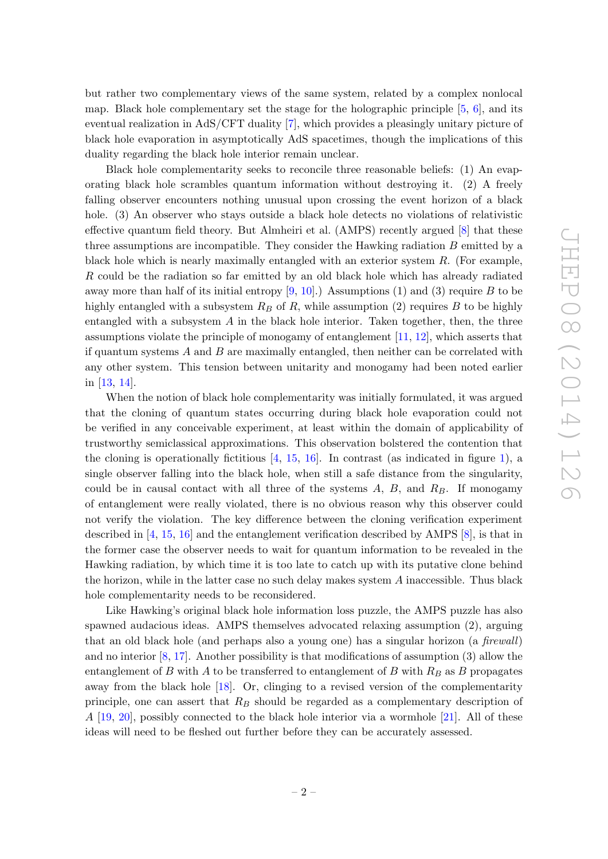but rather two complementary views of the same system, related by a complex nonlocal map. Black hole complementary set the stage for the holographic principle [\[5,](#page-27-4) [6\]](#page-27-5), and its eventual realization in AdS/CFT duality [\[7\]](#page-27-6), which provides a pleasingly unitary picture of black hole evaporation in asymptotically AdS spacetimes, though the implications of this duality regarding the black hole interior remain unclear.

Black hole complementarity seeks to reconcile three reasonable beliefs: (1) An evaporating black hole scrambles quantum information without destroying it. (2) A freely falling observer encounters nothing unusual upon crossing the event horizon of a black hole. (3) An observer who stays outside a black hole detects no violations of relativistic effective quantum field theory. But Almheiri et al. (AMPS) recently argued [\[8\]](#page-27-7) that these three assumptions are incompatible. They consider the Hawking radiation B emitted by a black hole which is nearly maximally entangled with an exterior system  $R$ . (For example, R could be the radiation so far emitted by an old black hole which has already radiated away more than half of its initial entropy  $[9, 10]$  $[9, 10]$  $[9, 10]$ .) Assumptions (1) and (3) require B to be highly entangled with a subsystem  $R_B$  of R, while assumption (2) requires B to be highly entangled with a subsystem  $A$  in the black hole interior. Taken together, then, the three assumptions violate the principle of monogamy of entanglement [\[11,](#page-27-10) [12\]](#page-27-11), which asserts that if quantum systems  $A$  and  $B$  are maximally entangled, then neither can be correlated with any other system. This tension between unitarity and monogamy had been noted earlier in [\[13,](#page-27-12) [14\]](#page-27-13).

When the notion of black hole complementarity was initially formulated, it was argued that the cloning of quantum states occurring during black hole evaporation could not be verified in any conceivable experiment, at least within the domain of applicability of trustworthy semiclassical approximations. This observation bolstered the contention that the cloning is operationally fictitious  $[4, 15, 16]$  $[4, 15, 16]$  $[4, 15, 16]$  $[4, 15, 16]$  $[4, 15, 16]$ . In contrast (as indicated in figure [1\)](#page-3-0), a single observer falling into the black hole, when still a safe distance from the singularity, could be in causal contact with all three of the systems  $A, B$ , and  $R_B$ . If monogamy of entanglement were really violated, there is no obvious reason why this observer could not verify the violation. The key difference between the cloning verification experiment described in [\[4,](#page-27-3) [15,](#page-27-14) [16\]](#page-27-15) and the entanglement verification described by AMPS [\[8\]](#page-27-7), is that in the former case the observer needs to wait for quantum information to be revealed in the Hawking radiation, by which time it is too late to catch up with its putative clone behind the horizon, while in the latter case no such delay makes system A inaccessible. Thus black hole complementarity needs to be reconsidered.

Like Hawking's original black hole information loss puzzle, the AMPS puzzle has also spawned audacious ideas. AMPS themselves advocated relaxing assumption (2), arguing that an old black hole (and perhaps also a young one) has a singular horizon (a firewall) and no interior  $[8, 17]$  $[8, 17]$  $[8, 17]$ . Another possibility is that modifications of assumption  $(3)$  allow the entanglement of B with A to be transferred to entanglement of B with  $R_B$  as B propagates away from the black hole [\[18\]](#page-28-1). Or, clinging to a revised version of the complementarity principle, one can assert that  $R_B$  should be regarded as a complementary description of  $A$  [\[19,](#page-28-2) [20\]](#page-28-3), possibly connected to the black hole interior via a wormhole [\[21\]](#page-28-4). All of these ideas will need to be fleshed out further before they can be accurately assessed.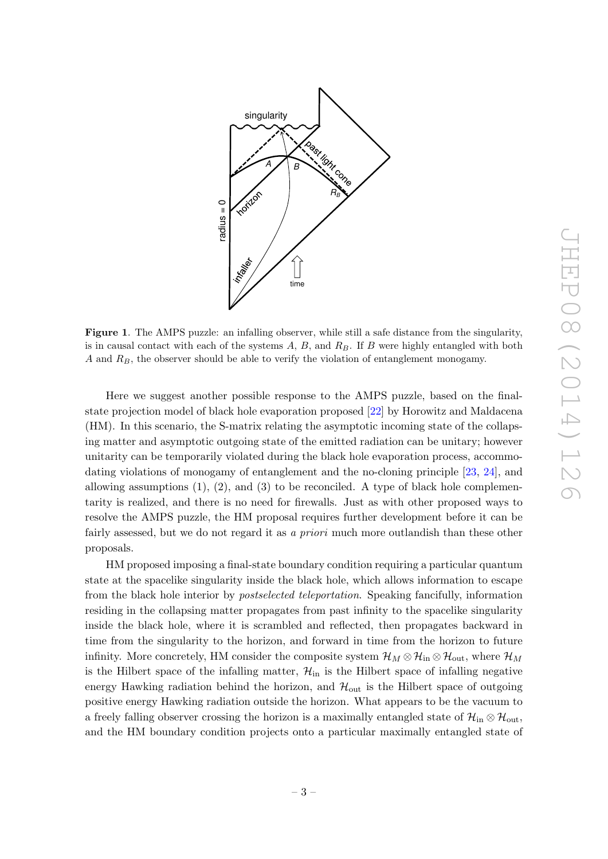

<span id="page-3-0"></span>Figure 1. The AMPS puzzle: an infalling observer, while still a safe distance from the singularity, is in causal contact with each of the systems  $A, B$ , and  $R_B$ . If B were highly entangled with both A and  $R_B$ , the observer should be able to verify the violation of entanglement monogamy.

Here we suggest another possible response to the AMPS puzzle, based on the finalstate projection model of black hole evaporation proposed [\[22\]](#page-28-5) by Horowitz and Maldacena (HM). In this scenario, the S-matrix relating the asymptotic incoming state of the collapsing matter and asymptotic outgoing state of the emitted radiation can be unitary; however unitarity can be temporarily violated during the black hole evaporation process, accommodating violations of monogamy of entanglement and the no-cloning principle [\[23,](#page-28-6) [24\]](#page-28-7), and allowing assumptions  $(1)$ ,  $(2)$ , and  $(3)$  to be reconciled. A type of black hole complementarity is realized, and there is no need for firewalls. Just as with other proposed ways to resolve the AMPS puzzle, the HM proposal requires further development before it can be fairly assessed, but we do not regard it as a priori much more outlandish than these other proposals.

HM proposed imposing a final-state boundary condition requiring a particular quantum state at the spacelike singularity inside the black hole, which allows information to escape from the black hole interior by postselected teleportation. Speaking fancifully, information residing in the collapsing matter propagates from past infinity to the spacelike singularity inside the black hole, where it is scrambled and reflected, then propagates backward in time from the singularity to the horizon, and forward in time from the horizon to future infinity. More concretely, HM consider the composite system  $\mathcal{H}_M \otimes \mathcal{H}_{\text{in}} \otimes \mathcal{H}_{\text{out}}$ , where  $\mathcal{H}_M$ is the Hilbert space of the infalling matter,  $\mathcal{H}_{\text{in}}$  is the Hilbert space of infalling negative energy Hawking radiation behind the horizon, and  $\mathcal{H}_{\text{out}}$  is the Hilbert space of outgoing positive energy Hawking radiation outside the horizon. What appears to be the vacuum to a freely falling observer crossing the horizon is a maximally entangled state of  $\mathcal{H}_{\text{in}} \otimes \mathcal{H}_{\text{out}}$ , and the HM boundary condition projects onto a particular maximally entangled state of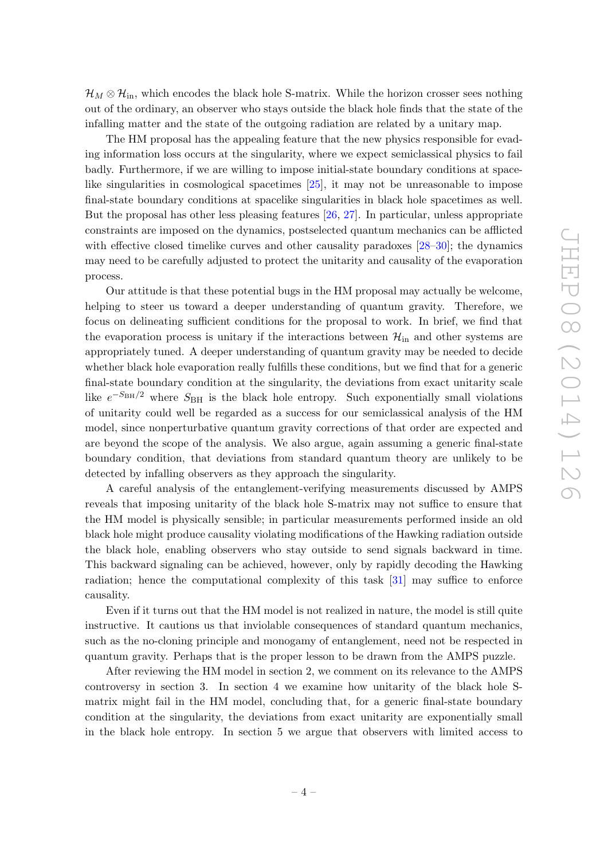$\mathcal{H}_M \otimes \mathcal{H}_{\text{in}}$ , which encodes the black hole S-matrix. While the horizon crosser sees nothing out of the ordinary, an observer who stays outside the black hole finds that the state of the infalling matter and the state of the outgoing radiation are related by a unitary map.

The HM proposal has the appealing feature that the new physics responsible for evading information loss occurs at the singularity, where we expect semiclassical physics to fail badly. Furthermore, if we are willing to impose initial-state boundary conditions at spacelike singularities in cosmological spacetimes [\[25\]](#page-28-8), it may not be unreasonable to impose final-state boundary conditions at spacelike singularities in black hole spacetimes as well. But the proposal has other less pleasing features [\[26,](#page-28-9) [27\]](#page-28-10). In particular, unless appropriate constraints are imposed on the dynamics, postselected quantum mechanics can be afflicted with effective closed timelike curves and other causality paradoxes [\[28](#page-28-11)[–30\]](#page-28-12); the dynamics may need to be carefully adjusted to protect the unitarity and causality of the evaporation process.

Our attitude is that these potential bugs in the HM proposal may actually be welcome, helping to steer us toward a deeper understanding of quantum gravity. Therefore, we focus on delineating sufficient conditions for the proposal to work. In brief, we find that the evaporation process is unitary if the interactions between  $\mathcal{H}_{\text{in}}$  and other systems are appropriately tuned. A deeper understanding of quantum gravity may be needed to decide whether black hole evaporation really fulfills these conditions, but we find that for a generic final-state boundary condition at the singularity, the deviations from exact unitarity scale like  $e^{-S_{\text{BH}}/2}$  where  $S_{\text{BH}}$  is the black hole entropy. Such exponentially small violations of unitarity could well be regarded as a success for our semiclassical analysis of the HM model, since nonperturbative quantum gravity corrections of that order are expected and are beyond the scope of the analysis. We also argue, again assuming a generic final-state boundary condition, that deviations from standard quantum theory are unlikely to be detected by infalling observers as they approach the singularity.

A careful analysis of the entanglement-verifying measurements discussed by AMPS reveals that imposing unitarity of the black hole S-matrix may not suffice to ensure that the HM model is physically sensible; in particular measurements performed inside an old black hole might produce causality violating modifications of the Hawking radiation outside the black hole, enabling observers who stay outside to send signals backward in time. This backward signaling can be achieved, however, only by rapidly decoding the Hawking radiation; hence the computational complexity of this task [\[31\]](#page-28-13) may suffice to enforce causality.

Even if it turns out that the HM model is not realized in nature, the model is still quite instructive. It cautions us that inviolable consequences of standard quantum mechanics, such as the no-cloning principle and monogamy of entanglement, need not be respected in quantum gravity. Perhaps that is the proper lesson to be drawn from the AMPS puzzle.

After reviewing the HM model in section 2, we comment on its relevance to the AMPS controversy in section 3. In section 4 we examine how unitarity of the black hole Smatrix might fail in the HM model, concluding that, for a generic final-state boundary condition at the singularity, the deviations from exact unitarity are exponentially small in the black hole entropy. In section 5 we argue that observers with limited access to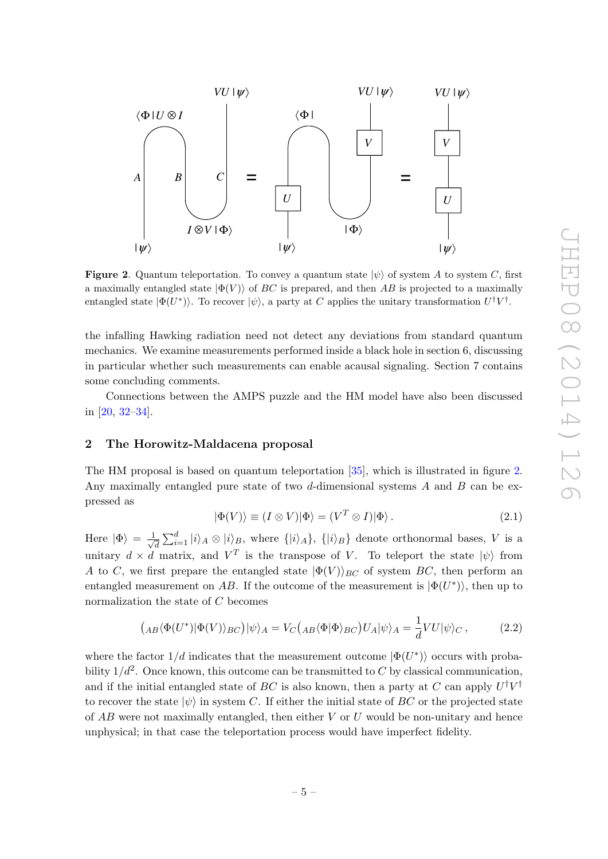

<span id="page-5-1"></span>**Figure 2.** Quantum teleportation. To convey a quantum state  $|\psi\rangle$  of system A to system C, first a maximally entangled state  $|\Phi(V)\rangle$  of BC is prepared, and then AB is projected to a maximally entangled state  $|\Phi(U^*)\rangle$ . To recover  $|\psi\rangle$ , a party at C applies the unitary transformation  $U^{\dagger}V^{\dagger}$ .

the infalling Hawking radiation need not detect any deviations from standard quantum mechanics. We examine measurements performed inside a black hole in section 6, discussing in particular whether such measurements can enable acausal signaling. Section 7 contains some concluding comments.

Connections between the AMPS puzzle and the HM model have also been discussed in [\[20,](#page-28-3) [32–](#page-28-14)[34\]](#page-28-15).

# <span id="page-5-0"></span>2 The Horowitz-Maldacena proposal

The HM proposal is based on quantum teleportation [\[35\]](#page-28-16), which is illustrated in figure [2.](#page-5-1) Any maximally entangled pure state of two d-dimensional systems  $A$  and  $B$  can be expressed as

$$
|\Phi(V)\rangle \equiv (I \otimes V)|\Phi\rangle = (V^T \otimes I)|\Phi\rangle.
$$
\n(2.1)

Here  $|\Phi\rangle = \frac{1}{\sqrt{2}}$  $\frac{1}{d} \sum_{i=1}^d |i\rangle_A \otimes |i\rangle_B$ , where  $\{|i\rangle_A\}$ ,  $\{|i\rangle_B\}$  denote orthonormal bases, V is a unitary  $d \times d$  matrix, and  $V^T$  is the transpose of V. To teleport the state  $|\psi\rangle$  from A to C, we first prepare the entangled state  $|\Phi(V)\rangle_{BC}$  of system BC, then perform an entangled measurement on AB. If the outcome of the measurement is  $|\Phi(U^*)\rangle$ , then up to normalization the state of C becomes

$$
\left(A_B \langle \Phi(U^*)|\Phi(V)\rangle_{BC}\right)|\psi\rangle_A = V_C \left(A_B \langle \Phi|\Phi\rangle_{BC}\right) U_A|\psi\rangle_A = \frac{1}{d} VU|\psi\rangle_C\,,\tag{2.2}
$$

where the factor  $1/d$  indicates that the measurement outcome  $|\Phi(U^*)\rangle$  occurs with probability  $1/d^2$ . Once known, this outcome can be transmitted to C by classical communication, and if the initial entangled state of BC is also known, then a party at C can apply  $U^{\dagger}V^{\dagger}$ to recover the state  $|\psi\rangle$  in system C. If either the initial state of BC or the projected state of  $AB$  were not maximally entangled, then either V or U would be non-unitary and hence unphysical; in that case the teleportation process would have imperfect fidelity.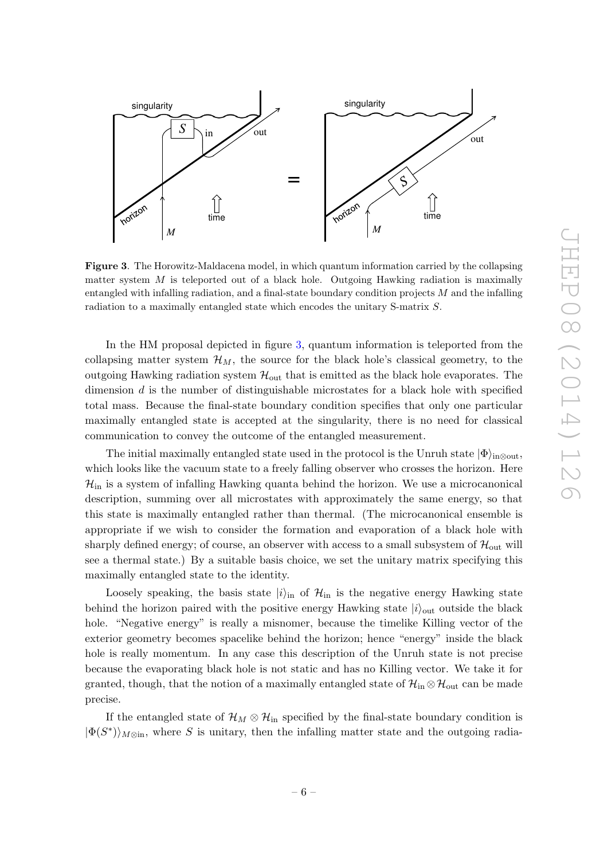

<span id="page-6-0"></span>Figure 3. The Horowitz-Maldacena model, in which quantum information carried by the collapsing matter system  $M$  is teleported out of a black hole. Outgoing Hawking radiation is maximally entangled with infalling radiation, and a final-state boundary condition projects  $M$  and the infalling radiation to a maximally entangled state which encodes the unitary S-matrix S.

In the HM proposal depicted in figure [3,](#page-6-0) quantum information is teleported from the collapsing matter system  $\mathcal{H}_M$ , the source for the black hole's classical geometry, to the outgoing Hawking radiation system  $\mathcal{H}_{\text{out}}$  that is emitted as the black hole evaporates. The dimension  $d$  is the number of distinguishable microstates for a black hole with specified total mass. Because the final-state boundary condition specifies that only one particular maximally entangled state is accepted at the singularity, there is no need for classical communication to convey the outcome of the entangled measurement.

The initial maximally entangled state used in the protocol is the Unruh state  $|\Phi\rangle_{in\mathcal{S}_{out}}$ , which looks like the vacuum state to a freely falling observer who crosses the horizon. Here  $\mathcal{H}_{\text{in}}$  is a system of infalling Hawking quanta behind the horizon. We use a microcanonical description, summing over all microstates with approximately the same energy, so that this state is maximally entangled rather than thermal. (The microcanonical ensemble is appropriate if we wish to consider the formation and evaporation of a black hole with sharply defined energy; of course, an observer with access to a small subsystem of  $\mathcal{H}_{\text{out}}$  will see a thermal state.) By a suitable basis choice, we set the unitary matrix specifying this maximally entangled state to the identity.

Loosely speaking, the basis state  $|i\rangle$ <sub>in</sub> of  $\mathcal{H}_{\text{in}}$  is the negative energy Hawking state behind the horizon paired with the positive energy Hawking state  $|i\rangle$ <sub>out</sub> outside the black hole. "Negative energy" is really a misnomer, because the timelike Killing vector of the exterior geometry becomes spacelike behind the horizon; hence "energy" inside the black hole is really momentum. In any case this description of the Unruh state is not precise because the evaporating black hole is not static and has no Killing vector. We take it for granted, though, that the notion of a maximally entangled state of  $\mathcal{H}_{in} \otimes \mathcal{H}_{out}$  can be made precise.

If the entangled state of  $\mathcal{H}_M \otimes \mathcal{H}_{\text{in}}$  specified by the final-state boundary condition is  $|\Phi(S^*)\rangle_{M\otimes\mathbf{in}}$ , where S is unitary, then the infalling matter state and the outgoing radia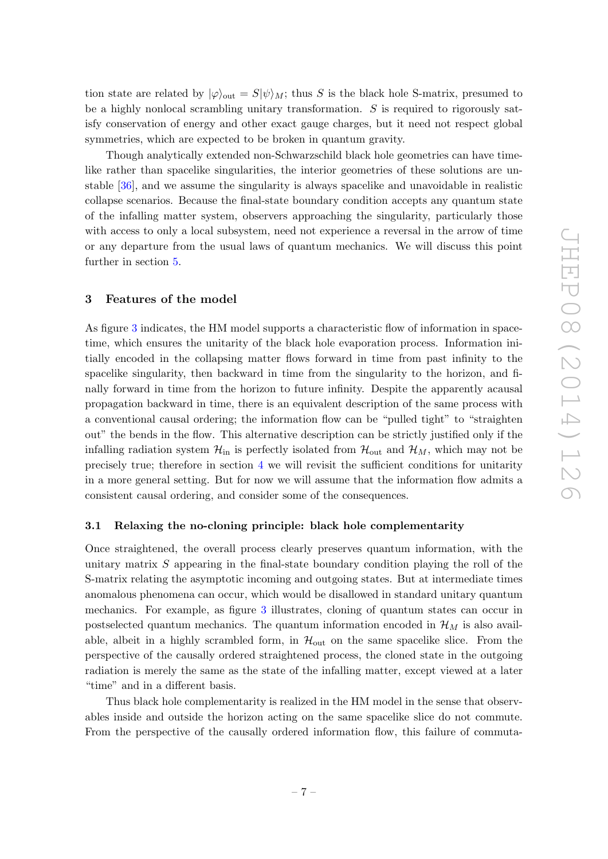tion state are related by  $|\varphi\rangle_{\text{out}} = S|\psi\rangle_M$ ; thus S is the black hole S-matrix, presumed to be a highly nonlocal scrambling unitary transformation.  $S$  is required to rigorously satisfy conservation of energy and other exact gauge charges, but it need not respect global symmetries, which are expected to be broken in quantum gravity.

Though analytically extended non-Schwarzschild black hole geometries can have timelike rather than spacelike singularities, the interior geometries of these solutions are unstable [\[36\]](#page-28-17), and we assume the singularity is always spacelike and unavoidable in realistic collapse scenarios. Because the final-state boundary condition accepts any quantum state of the infalling matter system, observers approaching the singularity, particularly those with access to only a local subsystem, need not experience a reversal in the arrow of time or any departure from the usual laws of quantum mechanics. We will discuss this point further in section [5.](#page-13-0)

# <span id="page-7-0"></span>3 Features of the model

As figure [3](#page-6-0) indicates, the HM model supports a characteristic flow of information in spacetime, which ensures the unitarity of the black hole evaporation process. Information initially encoded in the collapsing matter flows forward in time from past infinity to the spacelike singularity, then backward in time from the singularity to the horizon, and finally forward in time from the horizon to future infinity. Despite the apparently acausal propagation backward in time, there is an equivalent description of the same process with a conventional causal ordering; the information flow can be "pulled tight" to "straighten out" the bends in the flow. This alternative description can be strictly justified only if the infalling radiation system  $\mathcal{H}_{\text{in}}$  is perfectly isolated from  $\mathcal{H}_{\text{out}}$  and  $\mathcal{H}_{M}$ , which may not be precisely true; therefore in section  $4$  we will revisit the sufficient conditions for unitarity in a more general setting. But for now we will assume that the information flow admits a consistent causal ordering, and consider some of the consequences.

#### <span id="page-7-1"></span>3.1 Relaxing the no-cloning principle: black hole complementarity

Once straightened, the overall process clearly preserves quantum information, with the unitary matrix  $S$  appearing in the final-state boundary condition playing the roll of the S-matrix relating the asymptotic incoming and outgoing states. But at intermediate times anomalous phenomena can occur, which would be disallowed in standard unitary quantum mechanics. For example, as figure [3](#page-6-0) illustrates, cloning of quantum states can occur in postselected quantum mechanics. The quantum information encoded in  $\mathcal{H}_M$  is also available, albeit in a highly scrambled form, in  $\mathcal{H}_{\text{out}}$  on the same spacelike slice. From the perspective of the causally ordered straightened process, the cloned state in the outgoing radiation is merely the same as the state of the infalling matter, except viewed at a later "time" and in a different basis.

Thus black hole complementarity is realized in the HM model in the sense that observables inside and outside the horizon acting on the same spacelike slice do not commute. From the perspective of the causally ordered information flow, this failure of commuta-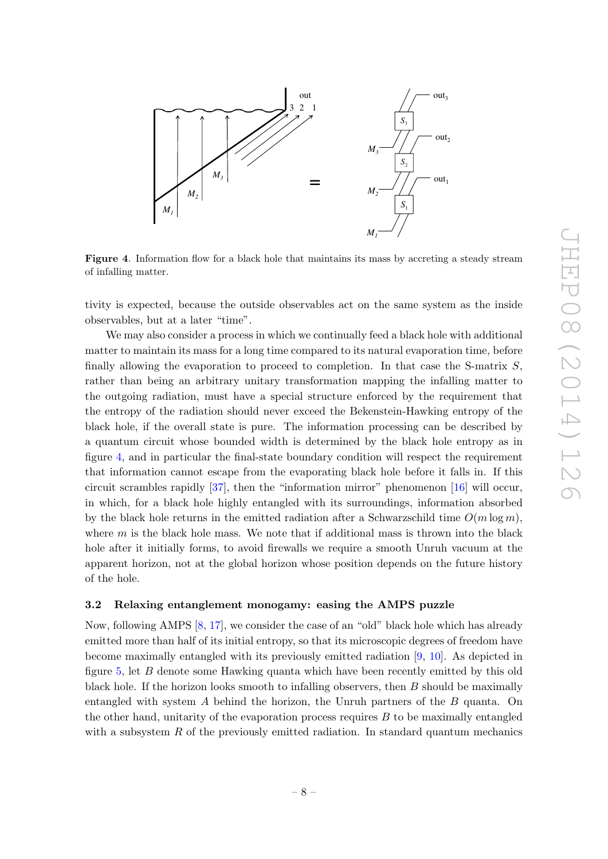

<span id="page-8-1"></span>Figure 4. Information flow for a black hole that maintains its mass by accreting a steady stream of infalling matter.

tivity is expected, because the outside observables act on the same system as the inside observables, but at a later "time".

We may also consider a process in which we continually feed a black hole with additional matter to maintain its mass for a long time compared to its natural evaporation time, before finally allowing the evaporation to proceed to completion. In that case the S-matrix  $S$ , rather than being an arbitrary unitary transformation mapping the infalling matter to the outgoing radiation, must have a special structure enforced by the requirement that the entropy of the radiation should never exceed the Bekenstein-Hawking entropy of the black hole, if the overall state is pure. The information processing can be described by a quantum circuit whose bounded width is determined by the black hole entropy as in figure [4,](#page-8-1) and in particular the final-state boundary condition will respect the requirement that information cannot escape from the evaporating black hole before it falls in. If this circuit scrambles rapidly [\[37\]](#page-29-0), then the "information mirror" phenomenon [\[16\]](#page-27-15) will occur, in which, for a black hole highly entangled with its surroundings, information absorbed by the black hole returns in the emitted radiation after a Schwarzschild time  $O(m \log m)$ , where  $m$  is the black hole mass. We note that if additional mass is thrown into the black hole after it initially forms, to avoid firewalls we require a smooth Unruh vacuum at the apparent horizon, not at the global horizon whose position depends on the future history of the hole.

# <span id="page-8-0"></span>3.2 Relaxing entanglement monogamy: easing the AMPS puzzle

Now, following AMPS [\[8,](#page-27-7) [17\]](#page-28-0), we consider the case of an "old" black hole which has already emitted more than half of its initial entropy, so that its microscopic degrees of freedom have become maximally entangled with its previously emitted radiation  $[9, 10]$  $[9, 10]$  $[9, 10]$ . As depicted in figure [5,](#page-9-1) let B denote some Hawking quanta which have been recently emitted by this old black hole. If the horizon looks smooth to infalling observers, then  $B$  should be maximally entangled with system A behind the horizon, the Unruh partners of the B quanta. On the other hand, unitarity of the evaporation process requires  $B$  to be maximally entangled with a subsystem  $R$  of the previously emitted radiation. In standard quantum mechanics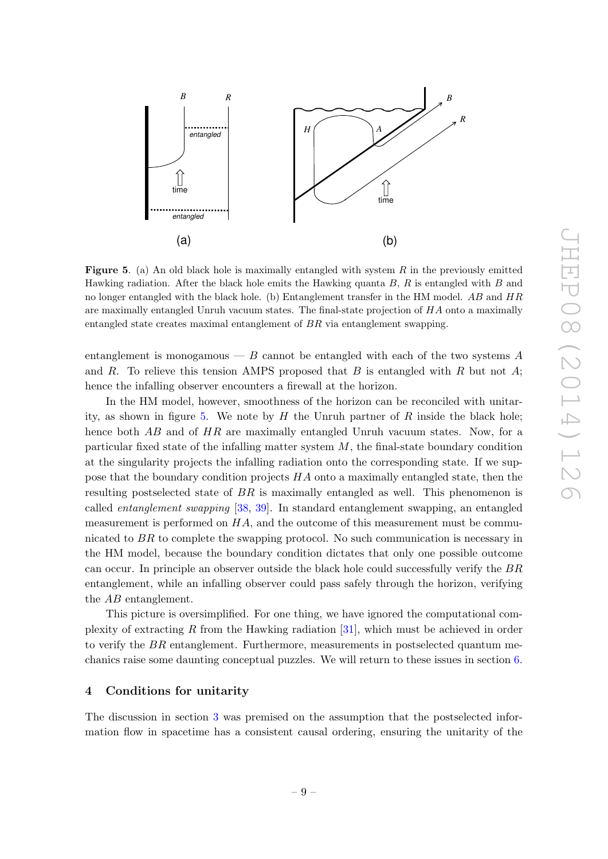

<span id="page-9-1"></span>**Figure 5.** (a) An old black hole is maximally entangled with system  $R$  in the previously emitted Hawking radiation. After the black hole emits the Hawking quanta  $B, R$  is entangled with  $B$  and no longer entangled with the black hole. (b) Entanglement transfer in the HM model. AB and HR are maximally entangled Unruh vacuum states. The final-state projection of  $HA$  onto a maximally entangled state creates maximal entanglement of BR via entanglement swapping.

entanglement is monogamous — B cannot be entangled with each of the two systems  $A$ and R. To relieve this tension AMPS proposed that B is entangled with R but not  $A$ ; hence the infalling observer encounters a firewall at the horizon.

In the HM model, however, smoothness of the horizon can be reconciled with unitar-ity, as shown in figure [5.](#page-9-1) We note by  $H$  the Unruh partner of  $R$  inside the black hole; hence both AB and of HR are maximally entangled Unruh vacuum states. Now, for a particular fixed state of the infalling matter system  $M$ , the final-state boundary condition at the singularity projects the infalling radiation onto the corresponding state. If we suppose that the boundary condition projects  $HA$  onto a maximally entangled state, then the resulting postselected state of  $BR$  is maximally entangled as well. This phenomenon is called entanglement swapping [\[38,](#page-29-1) [39\]](#page-29-2). In standard entanglement swapping, an entangled measurement is performed on  $HA$ , and the outcome of this measurement must be communicated to  $BR$  to complete the swapping protocol. No such communication is necessary in the HM model, because the boundary condition dictates that only one possible outcome can occur. In principle an observer outside the black hole could successfully verify the BR entanglement, while an infalling observer could pass safely through the horizon, verifying the AB entanglement.

This picture is oversimplified. For one thing, we have ignored the computational complexity of extracting R from the Hawking radiation  $[31]$ , which must be achieved in order to verify the BR entanglement. Furthermore, measurements in postselected quantum mechanics raise some daunting conceptual puzzles. We will return to these issues in section [6.](#page-14-0)

# <span id="page-9-0"></span>4 Conditions for unitarity

The discussion in section [3](#page-7-0) was premised on the assumption that the postselected information flow in spacetime has a consistent causal ordering, ensuring the unitarity of the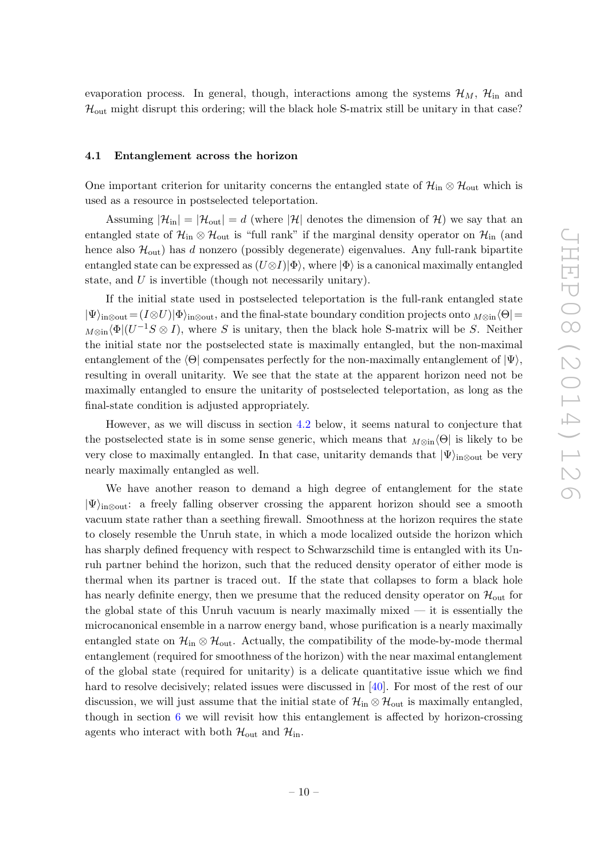evaporation process. In general, though, interactions among the systems  $\mathcal{H}_M$ ,  $\mathcal{H}_{\text{in}}$  and  $\mathcal{H}_{\text{out}}$  might disrupt this ordering; will the black hole S-matrix still be unitary in that case?

#### <span id="page-10-0"></span>4.1 Entanglement across the horizon

One important criterion for unitarity concerns the entangled state of  $\mathcal{H}_{in} \otimes \mathcal{H}_{out}$  which is used as a resource in postselected teleportation.

Assuming  $|\mathcal{H}_{in}| = |\mathcal{H}_{out}| = d$  (where  $|\mathcal{H}|$  denotes the dimension of H) we say that an entangled state of  $\mathcal{H}_{in} \otimes \mathcal{H}_{out}$  is "full rank" if the marginal density operator on  $\mathcal{H}_{in}$  (and hence also  $\mathcal{H}_{\text{out}}$ ) has d nonzero (possibly degenerate) eigenvalues. Any full-rank bipartite entangled state can be expressed as  $(U \otimes I)|\Phi\rangle$ , where  $|\Phi\rangle$  is a canonical maximally entangled state, and U is invertible (though not necessarily unitary).

If the initial state used in postselected teleportation is the full-rank entangled state  $|\Psi\rangle_{\text{in}\otimes\text{out}} = (I\otimes U)|\Phi\rangle_{\text{in}\otimes\text{out}}$ , and the final-state boundary condition projects onto  $M\otimes\text{in}\langle\Theta|$  $M \otimes_{\mathcal{M}} \Phi | (U^{-1}S \otimes I)$ , where S is unitary, then the black hole S-matrix will be S. Neither the initial state nor the postselected state is maximally entangled, but the non-maximal entanglement of the  $\langle \Theta |$  compensates perfectly for the non-maximally entanglement of  $|\Psi \rangle$ , resulting in overall unitarity. We see that the state at the apparent horizon need not be maximally entangled to ensure the unitarity of postselected teleportation, as long as the final-state condition is adjusted appropriately.

However, as we will discuss in section [4.2](#page-11-0) below, it seems natural to conjecture that the postselected state is in some sense generic, which means that  $_{M\otimes\text{in}}\langle\Theta|$  is likely to be very close to maximally entangled. In that case, unitarity demands that  $|\Psi\rangle_{in\fty}$  be very nearly maximally entangled as well.

We have another reason to demand a high degree of entanglement for the state  $|\Psi\rangle_{\text{in}\otimes\text{out}}$ : a freely falling observer crossing the apparent horizon should see a smooth vacuum state rather than a seething firewall. Smoothness at the horizon requires the state to closely resemble the Unruh state, in which a mode localized outside the horizon which has sharply defined frequency with respect to Schwarzschild time is entangled with its Unruh partner behind the horizon, such that the reduced density operator of either mode is thermal when its partner is traced out. If the state that collapses to form a black hole has nearly definite energy, then we presume that the reduced density operator on  $\mathcal{H}_{\text{out}}$  for the global state of this Unruh vacuum is nearly maximally mixed  $-$  it is essentially the microcanonical ensemble in a narrow energy band, whose purification is a nearly maximally entangled state on  $\mathcal{H}_{\text{in}} \otimes \mathcal{H}_{\text{out}}$ . Actually, the compatibility of the mode-by-mode thermal entanglement (required for smoothness of the horizon) with the near maximal entanglement of the global state (required for unitarity) is a delicate quantitative issue which we find hard to resolve decisively; related issues were discussed in [\[40\]](#page-29-3). For most of the rest of our discussion, we will just assume that the initial state of  $\mathcal{H}_{\text{in}} \otimes \mathcal{H}_{\text{out}}$  is maximally entangled, though in section [6](#page-14-0) we will revisit how this entanglement is affected by horizon-crossing agents who interact with both  $\mathcal{H}_{\text{out}}$  and  $\mathcal{H}_{\text{in}}$ .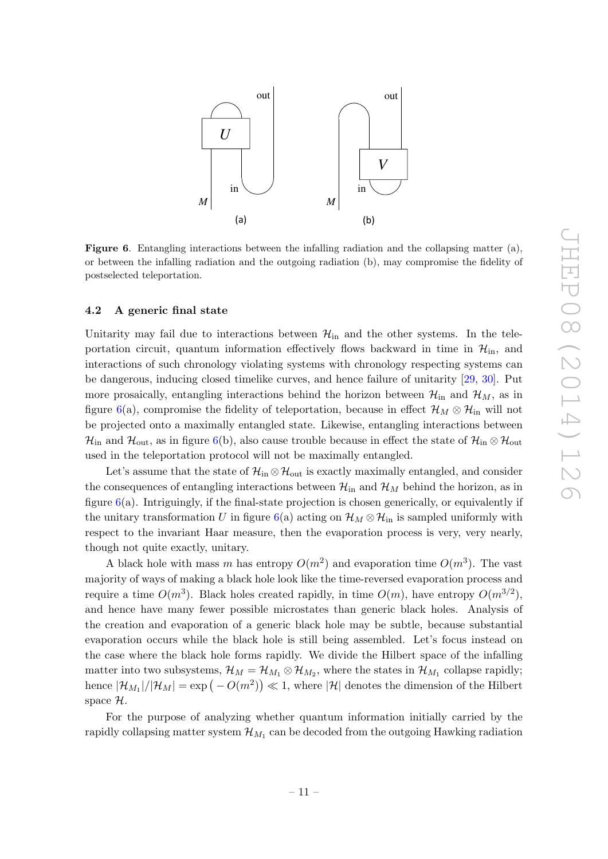

<span id="page-11-1"></span>Figure 6. Entangling interactions between the infalling radiation and the collapsing matter (a), or between the infalling radiation and the outgoing radiation (b), may compromise the fidelity of postselected teleportation.

#### <span id="page-11-0"></span>4.2 A generic final state

Unitarity may fail due to interactions between  $\mathcal{H}_{in}$  and the other systems. In the teleportation circuit, quantum information effectively flows backward in time in  $\mathcal{H}_{\text{in}}$ , and interactions of such chronology violating systems with chronology respecting systems can be dangerous, inducing closed timelike curves, and hence failure of unitarity [\[29,](#page-28-18) [30\]](#page-28-12). Put more prosaically, entangling interactions behind the horizon between  $\mathcal{H}_{\text{in}}$  and  $\mathcal{H}_{M}$ , as in figure [6\(](#page-11-1)a), compromise the fidelity of teleportation, because in effect  $\mathcal{H}_M \otimes \mathcal{H}_{\text{in}}$  will not be projected onto a maximally entangled state. Likewise, entangling interactions between  $\mathcal{H}_{\text{in}}$  and  $\mathcal{H}_{\text{out}}$ , as in figure [6\(](#page-11-1)b), also cause trouble because in effect the state of  $\mathcal{H}_{\text{in}} \otimes \mathcal{H}_{\text{out}}$ used in the teleportation protocol will not be maximally entangled.

Let's assume that the state of  $\mathcal{H}_{in} \otimes \mathcal{H}_{out}$  is exactly maximally entangled, and consider the consequences of entangling interactions between  $\mathcal{H}_{\text{in}}$  and  $\mathcal{H}_{M}$  behind the horizon, as in figure  $6(a)$  $6(a)$ . Intriguingly, if the final-state projection is chosen generically, or equivalently if the unitary transformation U in figure [6\(](#page-11-1)a) acting on  $\mathcal{H}_M \otimes \mathcal{H}_{\text{in}}$  is sampled uniformly with respect to the invariant Haar measure, then the evaporation process is very, very nearly, though not quite exactly, unitary.

A black hole with mass m has entropy  $O(m^2)$  and evaporation time  $O(m^3)$ . The vast majority of ways of making a black hole look like the time-reversed evaporation process and require a time  $O(m^3)$ . Black holes created rapidly, in time  $O(m)$ , have entropy  $O(m^{3/2})$ , and hence have many fewer possible microstates than generic black holes. Analysis of the creation and evaporation of a generic black hole may be subtle, because substantial evaporation occurs while the black hole is still being assembled. Let's focus instead on the case where the black hole forms rapidly. We divide the Hilbert space of the infalling matter into two subsystems,  $\mathcal{H}_M = \mathcal{H}_{M_1} \otimes \mathcal{H}_{M_2}$ , where the states in  $\mathcal{H}_{M_1}$  collapse rapidly; hence  $|\mathcal{H}_{M_1}|/|\mathcal{H}_M| = \exp(-O(m^2)) \ll 1$ , where  $|\mathcal{H}|$  denotes the dimension of the Hilbert space H.

For the purpose of analyzing whether quantum information initially carried by the rapidly collapsing matter system  $\mathcal{H}_{M_1}$  can be decoded from the outgoing Hawking radiation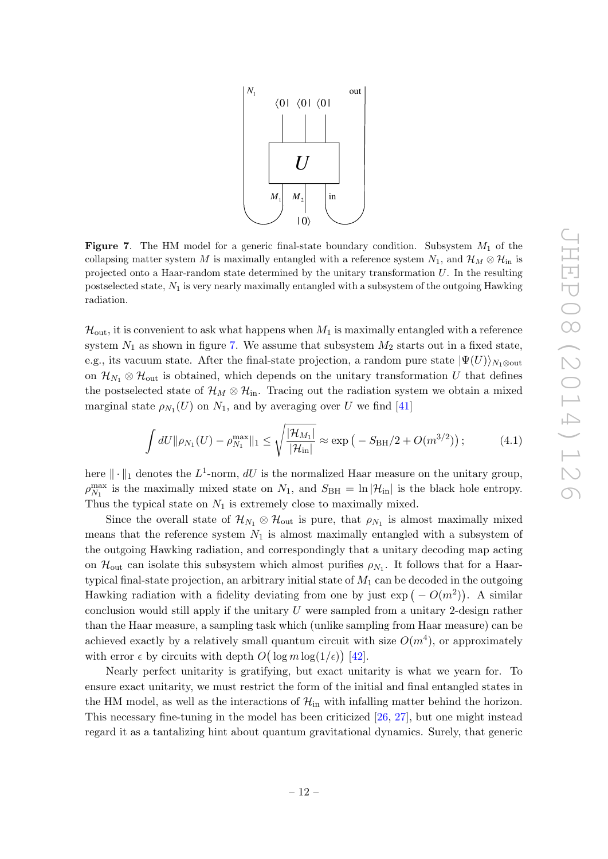

<span id="page-12-0"></span>**Figure 7.** The HM model for a generic final-state boundary condition. Subsystem  $M_1$  of the collapsing matter system M is maximally entangled with a reference system  $N_1$ , and  $\mathcal{H}_M \otimes \mathcal{H}_{\text{in}}$  is projected onto a Haar-random state determined by the unitary transformation  $U$ . In the resulting postselected state,  $N_1$  is very nearly maximally entangled with a subsystem of the outgoing Hawking radiation.

 $\mathcal{H}_{\text{out}}$ , it is convenient to ask what happens when  $M_1$  is maximally entangled with a reference system  $N_1$  as shown in figure [7.](#page-12-0) We assume that subsystem  $M_2$  starts out in a fixed state, e.g., its vacuum state. After the final-state projection, a random pure state  $|\Psi(U)\rangle_{N_1\otimes \text{out}}$ on  $\mathcal{H}_{N_1} \otimes \mathcal{H}_{\text{out}}$  is obtained, which depends on the unitary transformation U that defines the postselected state of  $\mathcal{H}_M \otimes \mathcal{H}_{\text{in}}$ . Tracing out the radiation system we obtain a mixed marginal state  $\rho_{N_1}(U)$  on  $N_1$ , and by averaging over U we find [\[41\]](#page-29-4)

$$
\int dU \|\rho_{N_1}(U) - \rho_{N_1}^{\max}\|_1 \le \sqrt{\frac{|\mathcal{H}_{M_1}|}{|\mathcal{H}_{\text{in}}|}} \approx \exp\left(-S_{\text{BH}}/2 + O(m^{3/2})\right); \tag{4.1}
$$

here  $\|\cdot\|_1$  denotes the  $L^1$ -norm,  $dU$  is the normalized Haar measure on the unitary group,  $\rho_{N_1}^{\max}$  is the maximally mixed state on  $N_1$ , and  $S_{\text{BH}} = \ln |\mathcal{H}_{\text{in}}|$  is the black hole entropy. Thus the typical state on  $N_1$  is extremely close to maximally mixed.

Since the overall state of  $\mathcal{H}_{N_1} \otimes \mathcal{H}_{\text{out}}$  is pure, that  $\rho_{N_1}$  is almost maximally mixed means that the reference system  $N_1$  is almost maximally entangled with a subsystem of the outgoing Hawking radiation, and correspondingly that a unitary decoding map acting on  $\mathcal{H}_{\text{out}}$  can isolate this subsystem which almost purifies  $\rho_{N_1}$ . It follows that for a Haartypical final-state projection, an arbitrary initial state of  $M_1$  can be decoded in the outgoing Hawking radiation with a fidelity deviating from one by just  $\exp(-O(m^2))$ . A similar conclusion would still apply if the unitary  $U$  were sampled from a unitary 2-design rather than the Haar measure, a sampling task which (unlike sampling from Haar measure) can be achieved exactly by a relatively small quantum circuit with size  $O(m^4)$ , or approximately with error  $\epsilon$  by circuits with depth  $O(\log m \log(1/\epsilon))$  [\[42\]](#page-29-5).

Nearly perfect unitarity is gratifying, but exact unitarity is what we yearn for. To ensure exact unitarity, we must restrict the form of the initial and final entangled states in the HM model, as well as the interactions of  $\mathcal{H}_{\text{in}}$  with infalling matter behind the horizon. This necessary fine-tuning in the model has been criticized [\[26,](#page-28-9) [27\]](#page-28-10), but one might instead regard it as a tantalizing hint about quantum gravitational dynamics. Surely, that generic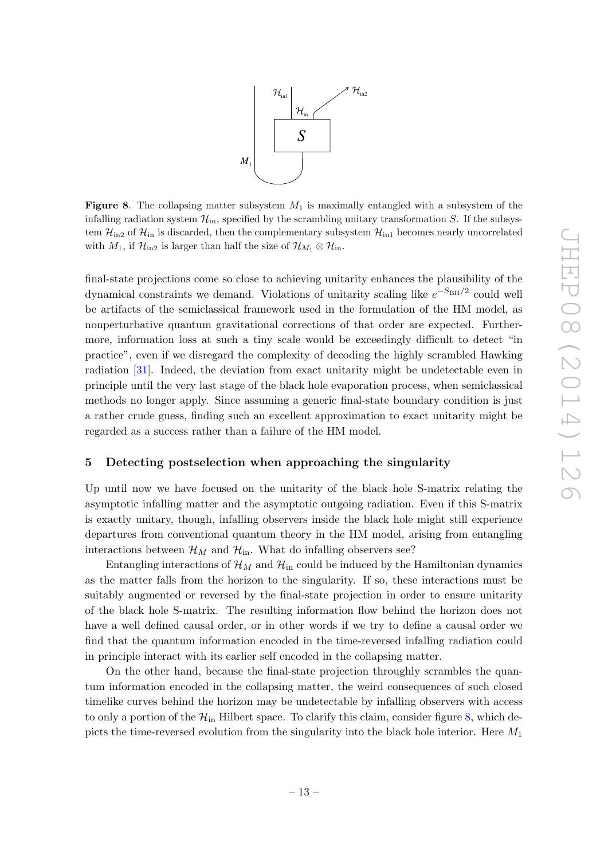

<span id="page-13-1"></span>**Figure 8.** The collapsing matter subsystem  $M_1$  is maximally entangled with a subsystem of the infalling radiation system  $\mathcal{H}_{\text{in}}$ , specified by the scrambling unitary transformation S. If the subsystem  $\mathcal{H}_{\text{in2}}$  of  $\mathcal{H}_{\text{in}}$  is discarded, then the complementary subsystem  $\mathcal{H}_{\text{in1}}$  becomes nearly uncorrelated with  $M_1$ , if  $\mathcal{H}_{\text{in2}}$  is larger than half the size of  $\mathcal{H}_{M_1} \otimes \mathcal{H}_{\text{in}}$ .

final-state projections come so close to achieving unitarity enhances the plausibility of the dynamical constraints we demand. Violations of unitarity scaling like  $e^{-S_{\text{BH}}/2}$  could well be artifacts of the semiclassical framework used in the formulation of the HM model, as nonperturbative quantum gravitational corrections of that order are expected. Furthermore, information loss at such a tiny scale would be exceedingly difficult to detect "in practice", even if we disregard the complexity of decoding the highly scrambled Hawking radiation [\[31\]](#page-28-13). Indeed, the deviation from exact unitarity might be undetectable even in principle until the very last stage of the black hole evaporation process, when semiclassical methods no longer apply. Since assuming a generic final-state boundary condition is just a rather crude guess, finding such an excellent approximation to exact unitarity might be regarded as a success rather than a failure of the HM model.

#### <span id="page-13-0"></span>5 Detecting postselection when approaching the singularity

Up until now we have focused on the unitarity of the black hole S-matrix relating the asymptotic infalling matter and the asymptotic outgoing radiation. Even if this S-matrix is exactly unitary, though, infalling observers inside the black hole might still experience departures from conventional quantum theory in the HM model, arising from entangling interactions between  $\mathcal{H}_M$  and  $\mathcal{H}_{\text{in}}$ . What do infalling observers see?

Entangling interactions of  $\mathcal{H}_M$  and  $\mathcal{H}_{\text{in}}$  could be induced by the Hamiltonian dynamics as the matter falls from the horizon to the singularity. If so, these interactions must be suitably augmented or reversed by the final-state projection in order to ensure unitarity of the black hole S-matrix. The resulting information flow behind the horizon does not have a well defined causal order, or in other words if we try to define a causal order we find that the quantum information encoded in the time-reversed infalling radiation could in principle interact with its earlier self encoded in the collapsing matter.

On the other hand, because the final-state projection throughly scrambles the quantum information encoded in the collapsing matter, the weird consequences of such closed timelike curves behind the horizon may be undetectable by infalling observers with access to only a portion of the  $\mathcal{H}_{\text{in}}$  Hilbert space. To clarify this claim, consider figure [8,](#page-13-1) which depicts the time-reversed evolution from the singularity into the black hole interior. Here  $M_1$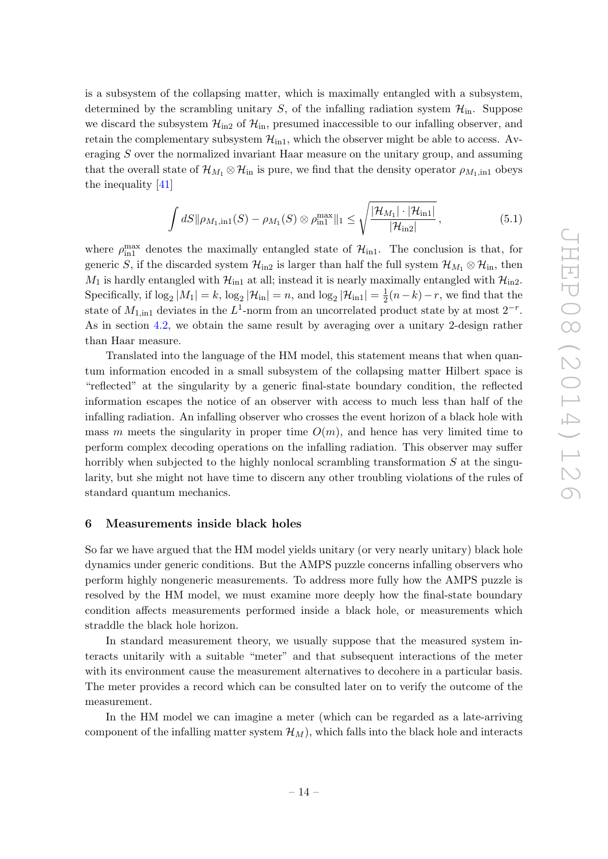is a subsystem of the collapsing matter, which is maximally entangled with a subsystem, determined by the scrambling unitary S, of the infalling radiation system  $\mathcal{H}_{\text{in}}$ . Suppose we discard the subsystem  $\mathcal{H}_{\text{in2}}$  of  $\mathcal{H}_{\text{in}}$ , presumed inaccessible to our infalling observer, and retain the complementary subsystem  $\mathcal{H}_{\text{in1}}$ , which the observer might be able to access. Averaging S over the normalized invariant Haar measure on the unitary group, and assuming that the overall state of  $\mathcal{H}_{M_1} \otimes \mathcal{H}_{\text{in}}$  is pure, we find that the density operator  $\rho_{M_1,\text{in1}}$  obeys the inequality [\[41\]](#page-29-4)

$$
\int dS \|\rho_{M_1,\text{in1}}(S) - \rho_{M_1}(S) \otimes \rho_{\text{in1}}^{\text{max}} \|_1 \le \sqrt{\frac{|\mathcal{H}_{M_1}| \cdot |\mathcal{H}_{\text{in1}}|}{|\mathcal{H}_{\text{in2}}|}}, \tag{5.1}
$$

where  $\rho_{\text{in1}}^{\text{max}}$  denotes the maximally entangled state of  $\mathcal{H}_{\text{in1}}$ . The conclusion is that, for generic S, if the discarded system  $\mathcal{H}_{\text{in2}}$  is larger than half the full system  $\mathcal{H}_{M_1} \otimes \mathcal{H}_{\text{in}}$ , then  $M_1$  is hardly entangled with  $\mathcal{H}_{\text{in1}}$  at all; instead it is nearly maximally entangled with  $\mathcal{H}_{\text{in2}}$ . Specifically, if  $\log_2|M_1| = k$ ,  $\log_2|\mathcal{H}_{\text{in}}| = n$ , and  $\log_2|\mathcal{H}_{\text{in}}| = \frac{1}{2}$  $\frac{1}{2}(n-k)-r$ , we find that the state of  $M_{1, \text{in1}}$  deviates in the  $L^1$ -norm from an uncorrelated product state by at most  $2^{-r}$ . As in section [4.2,](#page-11-0) we obtain the same result by averaging over a unitary 2-design rather than Haar measure.

Translated into the language of the HM model, this statement means that when quantum information encoded in a small subsystem of the collapsing matter Hilbert space is "reflected" at the singularity by a generic final-state boundary condition, the reflected information escapes the notice of an observer with access to much less than half of the infalling radiation. An infalling observer who crosses the event horizon of a black hole with mass m meets the singularity in proper time  $O(m)$ , and hence has very limited time to perform complex decoding operations on the infalling radiation. This observer may suffer horribly when subjected to the highly nonlocal scrambling transformation  $S$  at the singularity, but she might not have time to discern any other troubling violations of the rules of standard quantum mechanics.

#### <span id="page-14-0"></span>6 Measurements inside black holes

So far we have argued that the HM model yields unitary (or very nearly unitary) black hole dynamics under generic conditions. But the AMPS puzzle concerns infalling observers who perform highly nongeneric measurements. To address more fully how the AMPS puzzle is resolved by the HM model, we must examine more deeply how the final-state boundary condition affects measurements performed inside a black hole, or measurements which straddle the black hole horizon.

In standard measurement theory, we usually suppose that the measured system interacts unitarily with a suitable "meter" and that subsequent interactions of the meter with its environment cause the measurement alternatives to decohere in a particular basis. The meter provides a record which can be consulted later on to verify the outcome of the measurement.

In the HM model we can imagine a meter (which can be regarded as a late-arriving component of the infalling matter system  $\mathcal{H}_M$ ), which falls into the black hole and interacts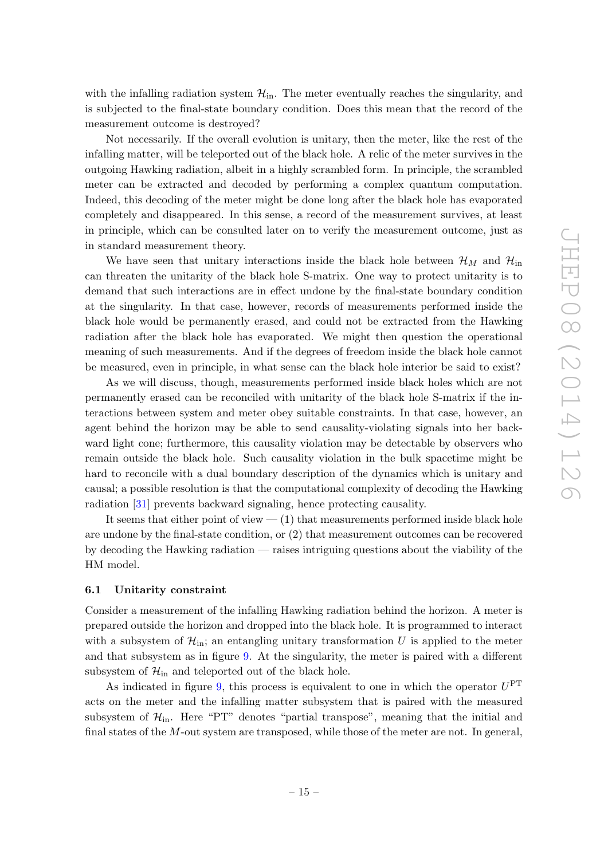with the infalling radiation system  $\mathcal{H}_{\text{in}}$ . The meter eventually reaches the singularity, and is subjected to the final-state boundary condition. Does this mean that the record of the measurement outcome is destroyed?

Not necessarily. If the overall evolution is unitary, then the meter, like the rest of the infalling matter, will be teleported out of the black hole. A relic of the meter survives in the outgoing Hawking radiation, albeit in a highly scrambled form. In principle, the scrambled meter can be extracted and decoded by performing a complex quantum computation. Indeed, this decoding of the meter might be done long after the black hole has evaporated completely and disappeared. In this sense, a record of the measurement survives, at least in principle, which can be consulted later on to verify the measurement outcome, just as in standard measurement theory.

We have seen that unitary interactions inside the black hole between  $\mathcal{H}_M$  and  $\mathcal{H}_{\text{in}}$ can threaten the unitarity of the black hole S-matrix. One way to protect unitarity is to demand that such interactions are in effect undone by the final-state boundary condition at the singularity. In that case, however, records of measurements performed inside the black hole would be permanently erased, and could not be extracted from the Hawking radiation after the black hole has evaporated. We might then question the operational meaning of such measurements. And if the degrees of freedom inside the black hole cannot be measured, even in principle, in what sense can the black hole interior be said to exist?

As we will discuss, though, measurements performed inside black holes which are not permanently erased can be reconciled with unitarity of the black hole S-matrix if the interactions between system and meter obey suitable constraints. In that case, however, an agent behind the horizon may be able to send causality-violating signals into her backward light cone; furthermore, this causality violation may be detectable by observers who remain outside the black hole. Such causality violation in the bulk spacetime might be hard to reconcile with a dual boundary description of the dynamics which is unitary and causal; a possible resolution is that the computational complexity of decoding the Hawking radiation [\[31\]](#page-28-13) prevents backward signaling, hence protecting causality.

It seems that either point of view  $-$  (1) that measurements performed inside black hole are undone by the final-state condition, or (2) that measurement outcomes can be recovered by decoding the Hawking radiation — raises intriguing questions about the viability of the HM model.

#### <span id="page-15-0"></span>6.1 Unitarity constraint

Consider a measurement of the infalling Hawking radiation behind the horizon. A meter is prepared outside the horizon and dropped into the black hole. It is programmed to interact with a subsystem of  $\mathcal{H}_{\text{in}}$ ; an entangling unitary transformation U is applied to the meter and that subsystem as in figure [9.](#page-16-1) At the singularity, the meter is paired with a different subsystem of  $\mathcal{H}_{\text{in}}$  and teleported out of the black hole.

As indicated in figure [9,](#page-16-1) this process is equivalent to one in which the operator  $U^{PT}$ acts on the meter and the infalling matter subsystem that is paired with the measured subsystem of  $\mathcal{H}_{\text{in}}$ . Here "PT" denotes "partial transpose", meaning that the initial and final states of the  $M$ -out system are transposed, while those of the meter are not. In general,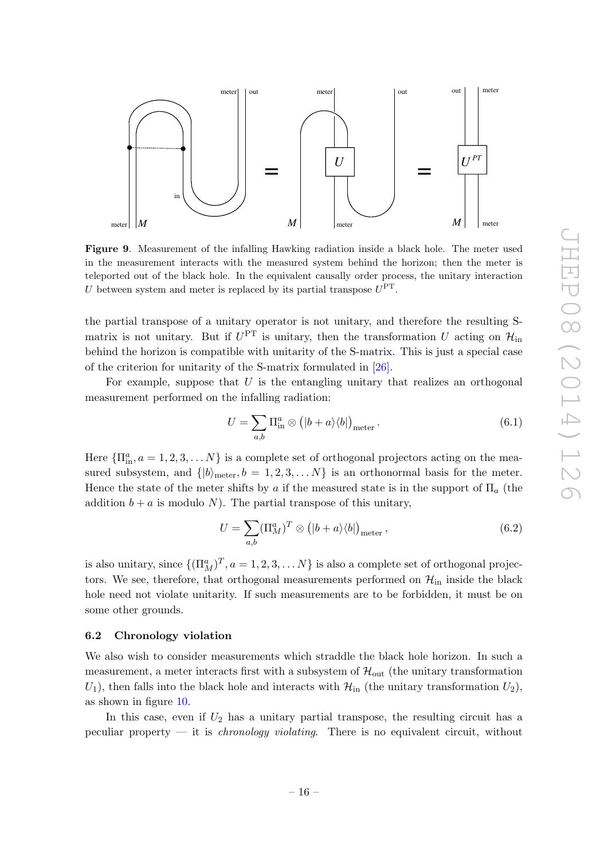

<span id="page-16-1"></span>Figure 9. Measurement of the infalling Hawking radiation inside a black hole. The meter used in the measurement interacts with the measured system behind the horizon; then the meter is teleported out of the black hole. In the equivalent causally order process, the unitary interaction U between system and meter is replaced by its partial transpose  $U^{\text{PT}}$ .

the partial transpose of a unitary operator is not unitary, and therefore the resulting Smatrix is not unitary. But if  $U^{PT}$  is unitary, then the transformation U acting on  $\mathcal{H}_{\text{in}}$ behind the horizon is compatible with unitarity of the S-matrix. This is just a special case of the criterion for unitarity of the S-matrix formulated in [\[26\]](#page-28-9).

For example, suppose that  $U$  is the entangling unitary that realizes an orthogonal measurement performed on the infalling radiation:

$$
U = \sum_{a,b} \Pi_{\text{in}}^a \otimes (|b+a\rangle\langle b|)_{\text{meter}}.
$$
 (6.1)

Here  $\{\Pi_{\text{in}}^a, a = 1, 2, 3, \dots N\}$  is a complete set of orthogonal projectors acting on the measured subsystem, and  $\{|b\rangle_{\text{meter}}, b = 1, 2, 3, \dots N\}$  is an orthonormal basis for the meter. Hence the state of the meter shifts by a if the measured state is in the support of  $\Pi_a$  (the addition  $b + a$  is modulo N). The partial transpose of this unitary,

$$
U = \sum_{a,b} (\Pi_M^a)^T \otimes (|b+a\rangle\langle b|)_{\text{meter}}, \qquad (6.2)
$$

is also unitary, since  $\{(\Pi_M^a)^T, a = 1, 2, 3, \dots N\}$  is also a complete set of orthogonal projectors. We see, therefore, that orthogonal measurements performed on  $\mathcal{H}_{in}$  inside the black hole need not violate unitarity. If such measurements are to be forbidden, it must be on some other grounds.

# <span id="page-16-0"></span>6.2 Chronology violation

We also wish to consider measurements which straddle the black hole horizon. In such a measurement, a meter interacts first with a subsystem of  $\mathcal{H}_{\text{out}}$  (the unitary transformation  $U_1$ , then falls into the black hole and interacts with  $\mathcal{H}_{\text{in}}$  (the unitary transformation  $U_2$ ), as shown in figure [10.](#page-17-0)

In this case, even if  $U_2$  has a unitary partial transpose, the resulting circuit has a peculiar property — it is *chronology violating*. There is no equivalent circuit, without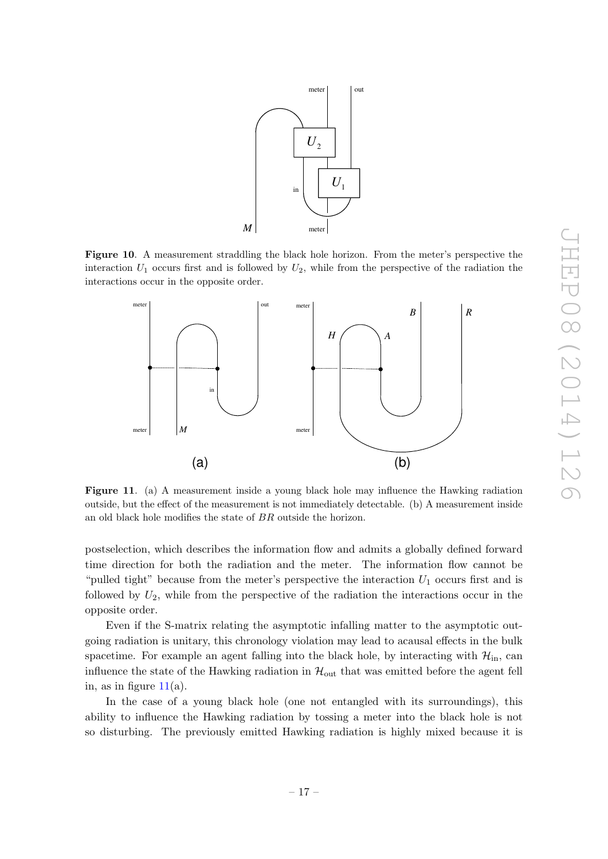

Figure 10. A measurement straddling the black hole horizon. From the meter's perspective the interaction  $U_1$  occurs first and is followed by  $U_2$ , while from the perspective of the radiation the interactions occur in the opposite order.

<span id="page-17-0"></span>

<span id="page-17-1"></span>Figure 11. (a) A measurement inside a young black hole may influence the Hawking radiation outside, but the effect of the measurement is not immediately detectable. (b) A measurement inside an old black hole modifies the state of BR outside the horizon.

postselection, which describes the information flow and admits a globally defined forward time direction for both the radiation and the meter. The information flow cannot be "pulled tight" because from the meter's perspective the interaction  $U_1$  occurs first and is followed by  $U_2$ , while from the perspective of the radiation the interactions occur in the opposite order.

Even if the S-matrix relating the asymptotic infalling matter to the asymptotic outgoing radiation is unitary, this chronology violation may lead to acausal effects in the bulk spacetime. For example an agent falling into the black hole, by interacting with  $\mathcal{H}_{in}$ , can influence the state of the Hawking radiation in  $\mathcal{H}_{\text{out}}$  that was emitted before the agent fell in, as in figure  $11(a)$  $11(a)$ .

In the case of a young black hole (one not entangled with its surroundings), this ability to influence the Hawking radiation by tossing a meter into the black hole is not so disturbing. The previously emitted Hawking radiation is highly mixed because it is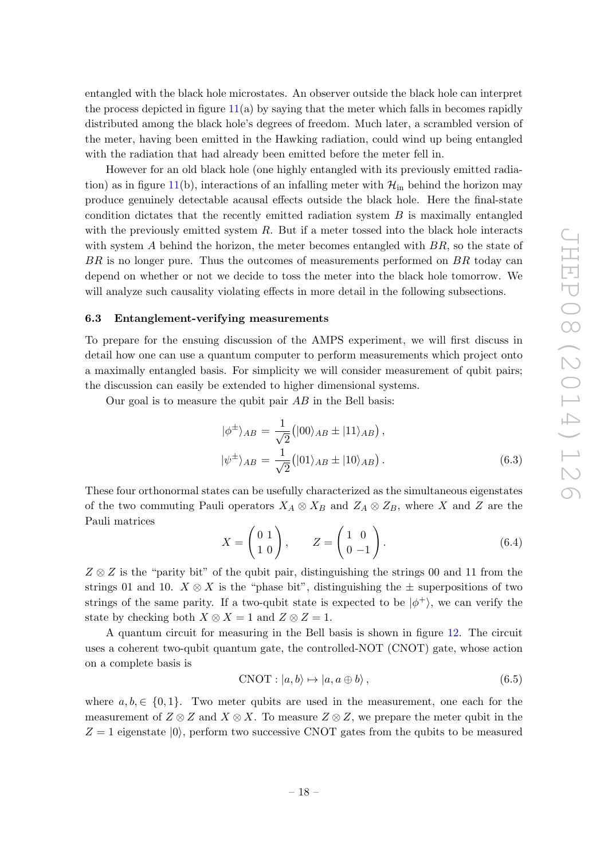entangled with the black hole microstates. An observer outside the black hole can interpret the process depicted in figure  $11(a)$  $11(a)$  by saying that the meter which falls in becomes rapidly distributed among the black hole's degrees of freedom. Much later, a scrambled version of the meter, having been emitted in the Hawking radiation, could wind up being entangled with the radiation that had already been emitted before the meter fell in.

However for an old black hole (one highly entangled with its previously emitted radia-tion) as in figure [11\(](#page-17-1)b), interactions of an infalling meter with  $\mathcal{H}_{in}$  behind the horizon may produce genuinely detectable acausal effects outside the black hole. Here the final-state condition dictates that the recently emitted radiation system  $B$  is maximally entangled with the previously emitted system  $R$ . But if a meter tossed into the black hole interacts with system  $A$  behind the horizon, the meter becomes entangled with  $BR$ , so the state of  $BR$  is no longer pure. Thus the outcomes of measurements performed on  $BR$  today can depend on whether or not we decide to toss the meter into the black hole tomorrow. We will analyze such causality violating effects in more detail in the following subsections.

#### <span id="page-18-0"></span>6.3 Entanglement-verifying measurements

To prepare for the ensuing discussion of the AMPS experiment, we will first discuss in detail how one can use a quantum computer to perform measurements which project onto a maximally entangled basis. For simplicity we will consider measurement of qubit pairs; the discussion can easily be extended to higher dimensional systems.

Our goal is to measure the qubit pair  $AB$  in the Bell basis:

$$
|\phi^{\pm}\rangle_{AB} = \frac{1}{\sqrt{2}} (|00\rangle_{AB} \pm |11\rangle_{AB}),
$$
  

$$
|\psi^{\pm}\rangle_{AB} = \frac{1}{\sqrt{2}} (|01\rangle_{AB} \pm |10\rangle_{AB}).
$$
 (6.3)

These four orthonormal states can be usefully characterized as the simultaneous eigenstates of the two commuting Pauli operators  $X_A \otimes X_B$  and  $Z_A \otimes Z_B$ , where X and Z are the Pauli matrices

$$
X = \begin{pmatrix} 0 & 1 \\ 1 & 0 \end{pmatrix}, \qquad Z = \begin{pmatrix} 1 & 0 \\ 0 & -1 \end{pmatrix}.
$$
 (6.4)

 $Z \otimes Z$  is the "parity bit" of the qubit pair, distinguishing the strings 00 and 11 from the strings 01 and 10.  $X \otimes X$  is the "phase bit", distinguishing the  $\pm$  superpositions of two strings of the same parity. If a two-qubit state is expected to be  $|\phi^+\rangle$ , we can verify the state by checking both  $X \otimes X = 1$  and  $Z \otimes Z = 1$ .

A quantum circuit for measuring in the Bell basis is shown in figure [12.](#page-19-1) The circuit uses a coherent two-qubit quantum gate, the controlled-NOT (CNOT) gate, whose action on a complete basis is

$$
CNOT : |a, b\rangle \mapsto |a, a \oplus b\rangle, \qquad (6.5)
$$

where  $a, b \in \{0, 1\}$ . Two meter qubits are used in the measurement, one each for the measurement of  $Z \otimes Z$  and  $X \otimes X$ . To measure  $Z \otimes Z$ , we prepare the meter qubit in the  $Z = 1$  eigenstate  $|0\rangle$ , perform two successive CNOT gates from the qubits to be measured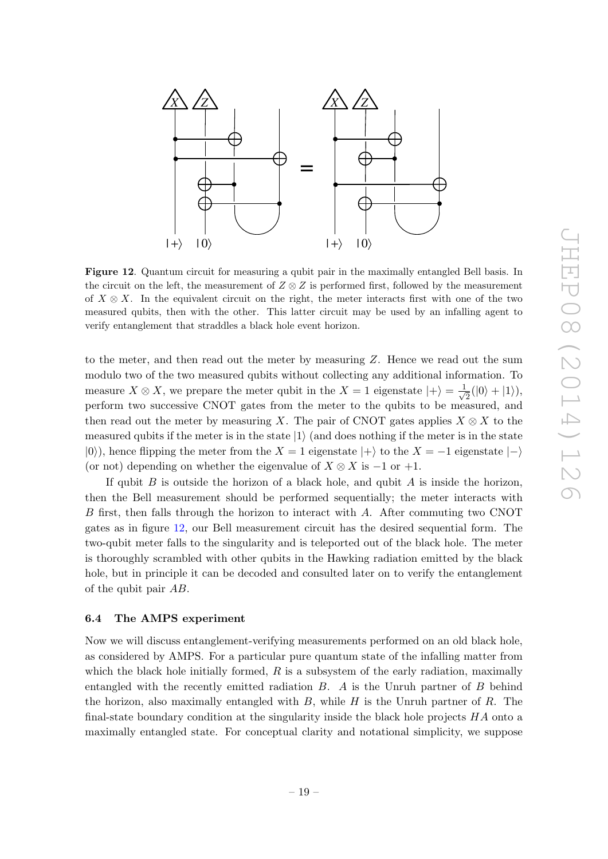

<span id="page-19-1"></span>Figure 12. Quantum circuit for measuring a qubit pair in the maximally entangled Bell basis. In the circuit on the left, the measurement of  $Z \otimes Z$  is performed first, followed by the measurement of  $X \otimes X$ . In the equivalent circuit on the right, the meter interacts first with one of the two measured qubits, then with the other. This latter circuit may be used by an infalling agent to verify entanglement that straddles a black hole event horizon.

to the meter, and then read out the meter by measuring Z. Hence we read out the sum modulo two of the two measured qubits without collecting any additional information. To measure  $X \otimes X$ , we prepare the meter qubit in the  $X = 1$  eigenstate  $|+\rangle = \frac{1}{\sqrt{2}}$  $\overline{2}(|0\rangle + |1\rangle),$ perform two successive CNOT gates from the meter to the qubits to be measured, and then read out the meter by measuring X. The pair of CNOT gates applies  $X \otimes X$  to the measured qubits if the meter is in the state  $|1\rangle$  (and does nothing if the meter is in the state  $|0\rangle$ ), hence flipping the meter from the X = 1 eigenstate  $|+\rangle$  to the X = −1 eigenstate  $|-\rangle$ (or not) depending on whether the eigenvalue of  $X \otimes X$  is  $-1$  or  $+1$ .

If qubit  $B$  is outside the horizon of a black hole, and qubit  $A$  is inside the horizon, then the Bell measurement should be performed sequentially; the meter interacts with B first, then falls through the horizon to interact with A. After commuting two CNOT gates as in figure [12,](#page-19-1) our Bell measurement circuit has the desired sequential form. The two-qubit meter falls to the singularity and is teleported out of the black hole. The meter is thoroughly scrambled with other qubits in the Hawking radiation emitted by the black hole, but in principle it can be decoded and consulted later on to verify the entanglement of the qubit pair AB.

# <span id="page-19-0"></span>6.4 The AMPS experiment

Now we will discuss entanglement-verifying measurements performed on an old black hole, as considered by AMPS. For a particular pure quantum state of the infalling matter from which the black hole initially formed,  $R$  is a subsystem of the early radiation, maximally entangled with the recently emitted radiation  $B$ . A is the Unruh partner of  $B$  behind the horizon, also maximally entangled with  $B$ , while  $H$  is the Unruh partner of  $R$ . The final-state boundary condition at the singularity inside the black hole projects  $HA$  onto a maximally entangled state. For conceptual clarity and notational simplicity, we suppose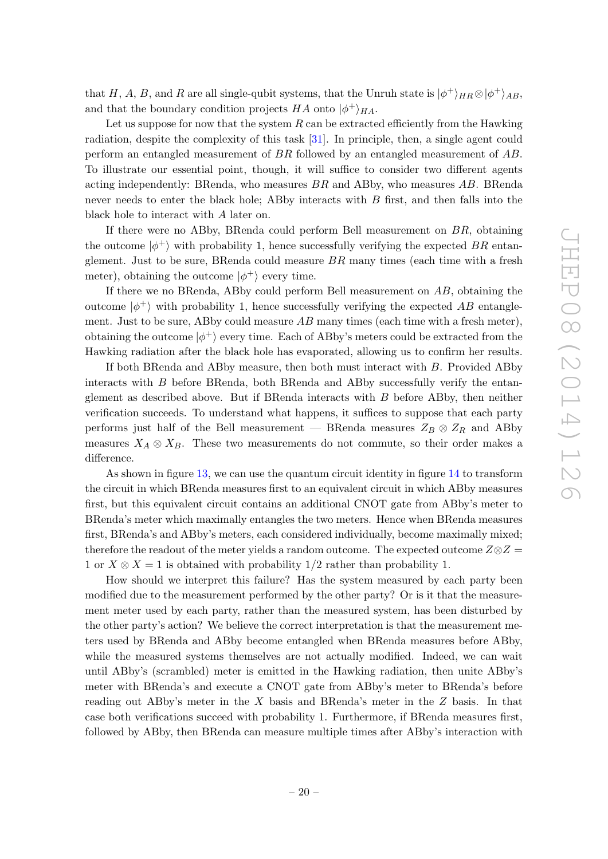that H, A, B, and R are all single-qubit systems, that the Unruh state is  $|\phi^{+}\rangle_{HR}\otimes|\phi^{+}\rangle_{AB}$ , and that the boundary condition projects  $HA$  onto  $|\phi^+\rangle_{HA}$ .

Let us suppose for now that the system  $R$  can be extracted efficiently from the Hawking radiation, despite the complexity of this task [\[31\]](#page-28-13). In principle, then, a single agent could perform an entangled measurement of BR followed by an entangled measurement of AB. To illustrate our essential point, though, it will suffice to consider two different agents acting independently: BRenda, who measures  $BR$  and ABby, who measures  $AB$ . BRenda never needs to enter the black hole; ABby interacts with B first, and then falls into the black hole to interact with A later on.

If there were no ABby, BRenda could perform Bell measurement on BR, obtaining the outcome  $|\phi^+\rangle$  with probability 1, hence successfully verifying the expected BR entanglement. Just to be sure, BRenda could measure  $BR$  many times (each time with a fresh meter), obtaining the outcome  $|\phi^+\rangle$  every time.

If there we no BRenda, ABby could perform Bell measurement on AB, obtaining the outcome  $|\phi^+\rangle$  with probability 1, hence successfully verifying the expected AB entanglement. Just to be sure, ABby could measure  $AB$  many times (each time with a fresh meter), obtaining the outcome  $|\phi^+\rangle$  every time. Each of ABby's meters could be extracted from the Hawking radiation after the black hole has evaporated, allowing us to confirm her results.

If both BRenda and ABby measure, then both must interact with B. Provided ABby interacts with B before BRenda, both BRenda and ABby successfully verify the entanglement as described above. But if BRenda interacts with B before ABby, then neither verification succeeds. To understand what happens, it suffices to suppose that each party performs just half of the Bell measurement — BRenda measures  $Z_B \otimes Z_R$  and ABby measures  $X_A \otimes X_B$ . These two measurements do not commute, so their order makes a difference.

As shown in figure [13,](#page-21-0) we can use the quantum circuit identity in figure [14](#page-21-1) to transform the circuit in which BRenda measures first to an equivalent circuit in which ABby measures first, but this equivalent circuit contains an additional CNOT gate from ABby's meter to BRenda's meter which maximally entangles the two meters. Hence when BRenda measures first, BRenda's and ABby's meters, each considered individually, become maximally mixed; therefore the readout of the meter yields a random outcome. The expected outcome  $Z \otimes Z =$ 1 or  $X \otimes X = 1$  is obtained with probability 1/2 rather than probability 1.

How should we interpret this failure? Has the system measured by each party been modified due to the measurement performed by the other party? Or is it that the measurement meter used by each party, rather than the measured system, has been disturbed by the other party's action? We believe the correct interpretation is that the measurement meters used by BRenda and ABby become entangled when BRenda measures before ABby, while the measured systems themselves are not actually modified. Indeed, we can wait until ABby's (scrambled) meter is emitted in the Hawking radiation, then unite ABby's meter with BRenda's and execute a CNOT gate from ABby's meter to BRenda's before reading out ABby's meter in the X basis and BRenda's meter in the Z basis. In that case both verifications succeed with probability 1. Furthermore, if BRenda measures first, followed by ABby, then BRenda can measure multiple times after ABby's interaction with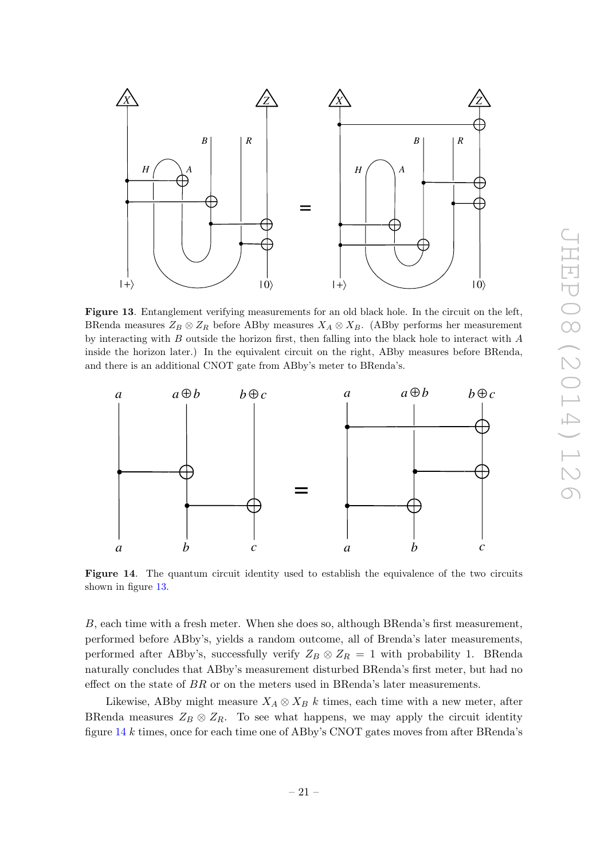

<span id="page-21-0"></span>Figure 13. Entanglement verifying measurements for an old black hole. In the circuit on the left, BRenda measures  $Z_B \otimes Z_R$  before ABby measures  $X_A \otimes X_B$ . (ABby performs her measurement by interacting with B outside the horizon first, then falling into the black hole to interact with A inside the horizon later.) In the equivalent circuit on the right, ABby measures before BRenda, and there is an additional CNOT gate from ABby's meter to BRenda's.



<span id="page-21-1"></span>Figure 14. The quantum circuit identity used to establish the equivalence of the two circuits shown in figure [13.](#page-21-0)

B, each time with a fresh meter. When she does so, although BRenda's first measurement, performed before ABby's, yields a random outcome, all of Brenda's later measurements, performed after ABby's, successfully verify  $Z_B \otimes Z_R = 1$  with probability 1. BRenda naturally concludes that ABby's measurement disturbed BRenda's first meter, but had no effect on the state of  $BR$  or on the meters used in BRenda's later measurements.

Likewise, ABby might measure  $X_A \otimes X_B$  k times, each time with a new meter, after BRenda measures  $Z_B \otimes Z_R$ . To see what happens, we may apply the circuit identity figure  $14 k$  $14 k$  times, once for each time one of ABby's CNOT gates moves from after BRenda's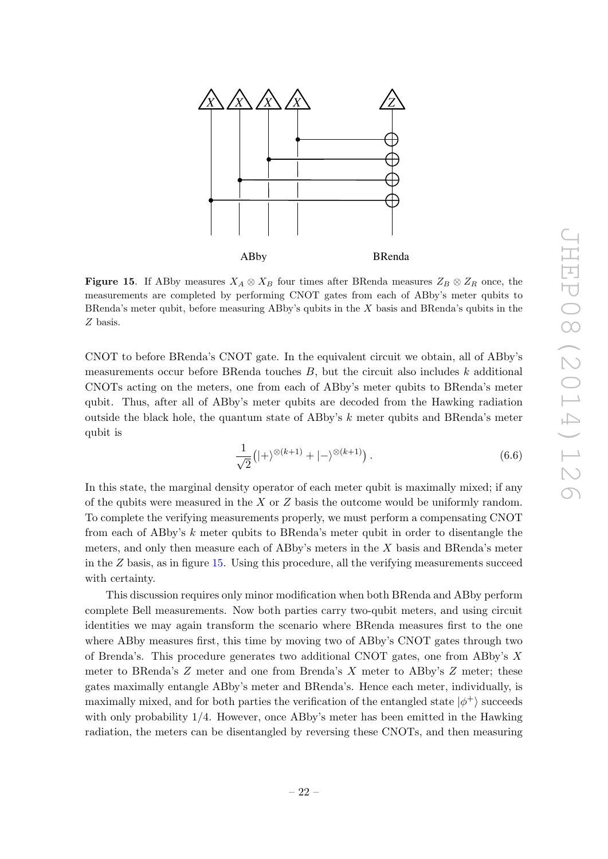

<span id="page-22-0"></span>**Figure 15.** If ABby measures  $X_A \otimes X_B$  four times after BRenda measures  $Z_B \otimes Z_R$  once, the measurements are completed by performing CNOT gates from each of ABby's meter qubits to BRenda's meter qubit, before measuring ABby's qubits in the X basis and BRenda's qubits in the Z basis.

CNOT to before BRenda's CNOT gate. In the equivalent circuit we obtain, all of ABby's measurements occur before BRenda touches  $B$ , but the circuit also includes  $k$  additional CNOTs acting on the meters, one from each of ABby's meter qubits to BRenda's meter qubit. Thus, after all of ABby's meter qubits are decoded from the Hawking radiation outside the black hole, the quantum state of ABby's k meter qubits and BRenda's meter qubit is

$$
\frac{1}{\sqrt{2}}\left(|+\rangle^{\otimes(k+1)}+|-\rangle^{\otimes(k+1)}\right).
$$
\n(6.6)

In this state, the marginal density operator of each meter qubit is maximally mixed; if any of the qubits were measured in the X or  $Z$  basis the outcome would be uniformly random. To complete the verifying measurements properly, we must perform a compensating CNOT from each of ABby's  $k$  meter qubits to BRenda's meter qubit in order to disentangle the meters, and only then measure each of ABby's meters in the  $X$  basis and BRenda's meter in the  $Z$  basis, as in figure [15.](#page-22-0) Using this procedure, all the verifying measurements succeed with certainty.

This discussion requires only minor modification when both BRenda and ABby perform complete Bell measurements. Now both parties carry two-qubit meters, and using circuit identities we may again transform the scenario where BRenda measures first to the one where ABby measures first, this time by moving two of ABby's CNOT gates through two of Brenda's. This procedure generates two additional CNOT gates, one from ABby's X meter to BRenda's  $Z$  meter and one from Brenda's  $X$  meter to ABby's  $Z$  meter; these gates maximally entangle ABby's meter and BRenda's. Hence each meter, individually, is maximally mixed, and for both parties the verification of the entangled state  $|\phi^+\rangle$  succeeds with only probability 1/4. However, once ABby's meter has been emitted in the Hawking radiation, the meters can be disentangled by reversing these CNOTs, and then measuring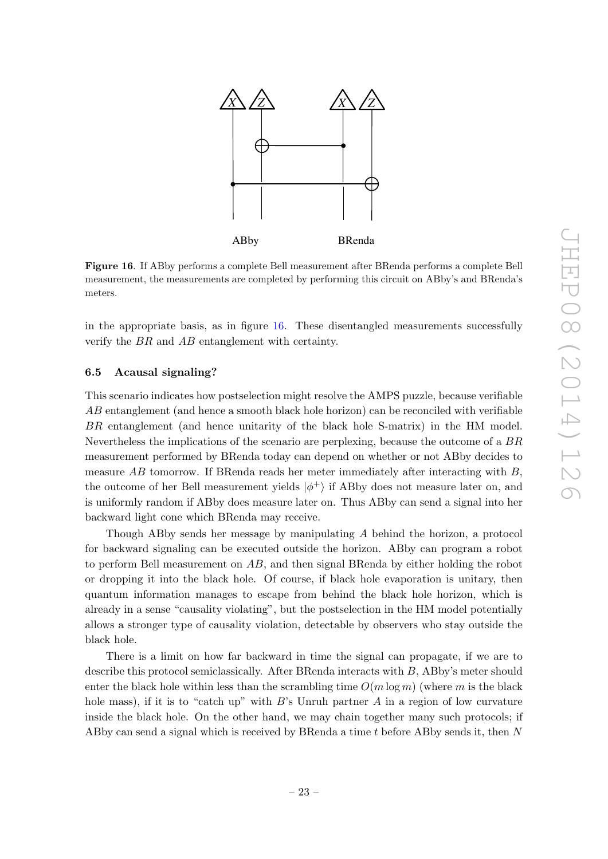

<span id="page-23-1"></span>Figure 16. If ABby performs a complete Bell measurement after BRenda performs a complete Bell measurement, the measurements are completed by performing this circuit on ABby's and BRenda's meters.

in the appropriate basis, as in figure [16.](#page-23-1) These disentangled measurements successfully verify the BR and AB entanglement with certainty.

# <span id="page-23-0"></span>6.5 Acausal signaling?

This scenario indicates how postselection might resolve the AMPS puzzle, because verifiable AB entanglement (and hence a smooth black hole horizon) can be reconciled with verifiable BR entanglement (and hence unitarity of the black hole S-matrix) in the HM model. Nevertheless the implications of the scenario are perplexing, because the outcome of a BR measurement performed by BRenda today can depend on whether or not ABby decides to measure  $AB$  tomorrow. If BRenda reads her meter immediately after interacting with  $B$ , the outcome of her Bell measurement yields  $|\phi^+\rangle$  if ABby does not measure later on, and is uniformly random if ABby does measure later on. Thus ABby can send a signal into her backward light cone which BRenda may receive.

Though ABby sends her message by manipulating A behind the horizon, a protocol for backward signaling can be executed outside the horizon. ABby can program a robot to perform Bell measurement on AB, and then signal BRenda by either holding the robot or dropping it into the black hole. Of course, if black hole evaporation is unitary, then quantum information manages to escape from behind the black hole horizon, which is already in a sense "causality violating", but the postselection in the HM model potentially allows a stronger type of causality violation, detectable by observers who stay outside the black hole.

There is a limit on how far backward in time the signal can propagate, if we are to describe this protocol semiclassically. After BRenda interacts with B, ABby's meter should enter the black hole within less than the scrambling time  $O(m \log m)$  (where m is the black hole mass), if it is to "catch up" with  $B$ 's Unruh partner A in a region of low curvature inside the black hole. On the other hand, we may chain together many such protocols; if ABby can send a signal which is received by BRenda a time  $t$  before ABby sends it, then  $N$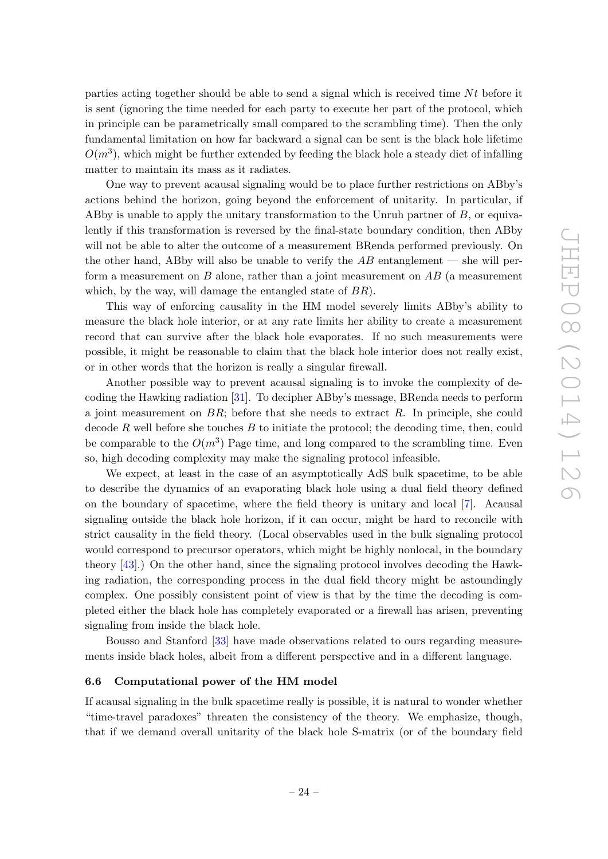parties acting together should be able to send a signal which is received time  $Nt$  before it is sent (ignoring the time needed for each party to execute her part of the protocol, which in principle can be parametrically small compared to the scrambling time). Then the only fundamental limitation on how far backward a signal can be sent is the black hole lifetime  $O(m^3)$ , which might be further extended by feeding the black hole a steady diet of infalling matter to maintain its mass as it radiates.

One way to prevent acausal signaling would be to place further restrictions on ABby's actions behind the horizon, going beyond the enforcement of unitarity. In particular, if ABby is unable to apply the unitary transformation to the Unruh partner of  $B$ , or equivalently if this transformation is reversed by the final-state boundary condition, then ABby will not be able to alter the outcome of a measurement BRenda performed previously. On the other hand, ABby will also be unable to verify the  $AB$  entanglement — she will perform a measurement on  $B$  alone, rather than a joint measurement on  $AB$  (a measurement which, by the way, will damage the entangled state of  $BR$ ).

This way of enforcing causality in the HM model severely limits ABby's ability to measure the black hole interior, or at any rate limits her ability to create a measurement record that can survive after the black hole evaporates. If no such measurements were possible, it might be reasonable to claim that the black hole interior does not really exist, or in other words that the horizon is really a singular firewall.

Another possible way to prevent acausal signaling is to invoke the complexity of decoding the Hawking radiation [\[31\]](#page-28-13). To decipher ABby's message, BRenda needs to perform a joint measurement on  $BR$ ; before that she needs to extract  $R$ . In principle, she could decode  $R$  well before she touches  $B$  to initiate the protocol; the decoding time, then, could be comparable to the  $O(m^3)$  Page time, and long compared to the scrambling time. Even so, high decoding complexity may make the signaling protocol infeasible.

We expect, at least in the case of an asymptotically AdS bulk spacetime, to be able to describe the dynamics of an evaporating black hole using a dual field theory defined on the boundary of spacetime, where the field theory is unitary and local [\[7\]](#page-27-6). Acausal signaling outside the black hole horizon, if it can occur, might be hard to reconcile with strict causality in the field theory. (Local observables used in the bulk signaling protocol would correspond to precursor operators, which might be highly nonlocal, in the boundary theory [\[43\]](#page-29-6).) On the other hand, since the signaling protocol involves decoding the Hawking radiation, the corresponding process in the dual field theory might be astoundingly complex. One possibly consistent point of view is that by the time the decoding is completed either the black hole has completely evaporated or a firewall has arisen, preventing signaling from inside the black hole.

Bousso and Stanford [\[33\]](#page-28-19) have made observations related to ours regarding measurements inside black holes, albeit from a different perspective and in a different language.

#### <span id="page-24-0"></span>6.6 Computational power of the HM model

If acausal signaling in the bulk spacetime really is possible, it is natural to wonder whether "time-travel paradoxes" threaten the consistency of the theory. We emphasize, though, that if we demand overall unitarity of the black hole S-matrix (or of the boundary field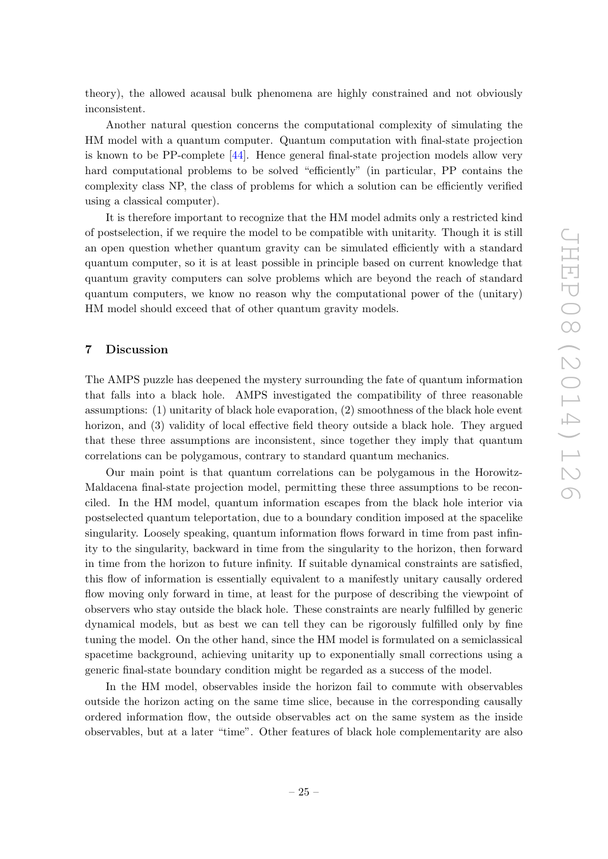theory), the allowed acausal bulk phenomena are highly constrained and not obviously inconsistent.

Another natural question concerns the computational complexity of simulating the HM model with a quantum computer. Quantum computation with final-state projection is known to be PP-complete [\[44\]](#page-29-7). Hence general final-state projection models allow very hard computational problems to be solved "efficiently" (in particular, PP contains the complexity class NP, the class of problems for which a solution can be efficiently verified using a classical computer).

It is therefore important to recognize that the HM model admits only a restricted kind of postselection, if we require the model to be compatible with unitarity. Though it is still an open question whether quantum gravity can be simulated efficiently with a standard quantum computer, so it is at least possible in principle based on current knowledge that quantum gravity computers can solve problems which are beyond the reach of standard quantum computers, we know no reason why the computational power of the (unitary) HM model should exceed that of other quantum gravity models.

# <span id="page-25-0"></span>7 Discussion

The AMPS puzzle has deepened the mystery surrounding the fate of quantum information that falls into a black hole. AMPS investigated the compatibility of three reasonable assumptions: (1) unitarity of black hole evaporation, (2) smoothness of the black hole event horizon, and (3) validity of local effective field theory outside a black hole. They argued that these three assumptions are inconsistent, since together they imply that quantum correlations can be polygamous, contrary to standard quantum mechanics.

Our main point is that quantum correlations can be polygamous in the Horowitz-Maldacena final-state projection model, permitting these three assumptions to be reconciled. In the HM model, quantum information escapes from the black hole interior via postselected quantum teleportation, due to a boundary condition imposed at the spacelike singularity. Loosely speaking, quantum information flows forward in time from past infinity to the singularity, backward in time from the singularity to the horizon, then forward in time from the horizon to future infinity. If suitable dynamical constraints are satisfied, this flow of information is essentially equivalent to a manifestly unitary causally ordered flow moving only forward in time, at least for the purpose of describing the viewpoint of observers who stay outside the black hole. These constraints are nearly fulfilled by generic dynamical models, but as best we can tell they can be rigorously fulfilled only by fine tuning the model. On the other hand, since the HM model is formulated on a semiclassical spacetime background, achieving unitarity up to exponentially small corrections using a generic final-state boundary condition might be regarded as a success of the model.

In the HM model, observables inside the horizon fail to commute with observables outside the horizon acting on the same time slice, because in the corresponding causally ordered information flow, the outside observables act on the same system as the inside observables, but at a later "time". Other features of black hole complementarity are also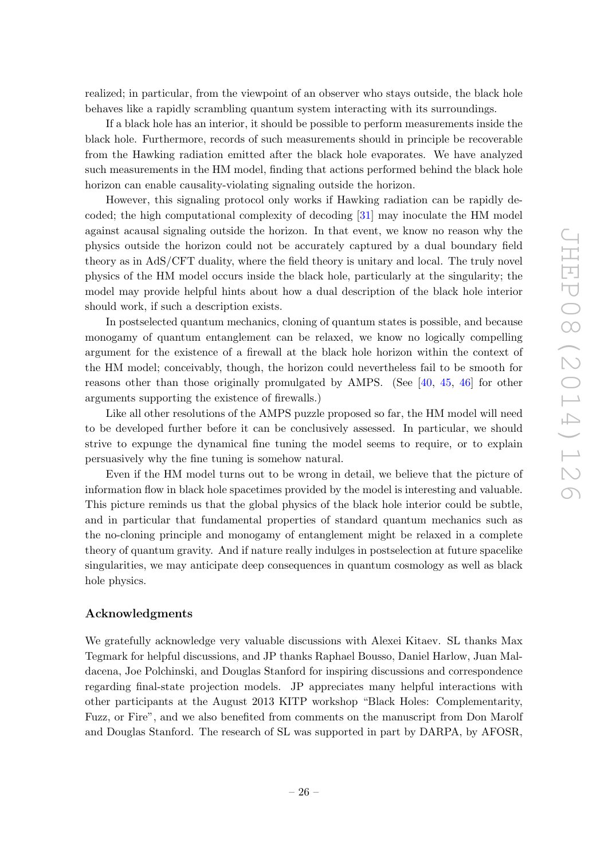realized; in particular, from the viewpoint of an observer who stays outside, the black hole behaves like a rapidly scrambling quantum system interacting with its surroundings.

If a black hole has an interior, it should be possible to perform measurements inside the black hole. Furthermore, records of such measurements should in principle be recoverable from the Hawking radiation emitted after the black hole evaporates. We have analyzed such measurements in the HM model, finding that actions performed behind the black hole horizon can enable causality-violating signaling outside the horizon.

However, this signaling protocol only works if Hawking radiation can be rapidly decoded; the high computational complexity of decoding [\[31\]](#page-28-13) may inoculate the HM model against acausal signaling outside the horizon. In that event, we know no reason why the physics outside the horizon could not be accurately captured by a dual boundary field theory as in AdS/CFT duality, where the field theory is unitary and local. The truly novel physics of the HM model occurs inside the black hole, particularly at the singularity; the model may provide helpful hints about how a dual description of the black hole interior should work, if such a description exists.

In postselected quantum mechanics, cloning of quantum states is possible, and because monogamy of quantum entanglement can be relaxed, we know no logically compelling argument for the existence of a firewall at the black hole horizon within the context of the HM model; conceivably, though, the horizon could nevertheless fail to be smooth for reasons other than those originally promulgated by AMPS. (See [\[40,](#page-29-3) [45,](#page-29-8) [46\]](#page-29-9) for other arguments supporting the existence of firewalls.)

Like all other resolutions of the AMPS puzzle proposed so far, the HM model will need to be developed further before it can be conclusively assessed. In particular, we should strive to expunge the dynamical fine tuning the model seems to require, or to explain persuasively why the fine tuning is somehow natural.

Even if the HM model turns out to be wrong in detail, we believe that the picture of information flow in black hole spacetimes provided by the model is interesting and valuable. This picture reminds us that the global physics of the black hole interior could be subtle, and in particular that fundamental properties of standard quantum mechanics such as the no-cloning principle and monogamy of entanglement might be relaxed in a complete theory of quantum gravity. And if nature really indulges in postselection at future spacelike singularities, we may anticipate deep consequences in quantum cosmology as well as black hole physics.

# Acknowledgments

We gratefully acknowledge very valuable discussions with Alexei Kitaev. SL thanks Max Tegmark for helpful discussions, and JP thanks Raphael Bousso, Daniel Harlow, Juan Maldacena, Joe Polchinski, and Douglas Stanford for inspiring discussions and correspondence regarding final-state projection models. JP appreciates many helpful interactions with other participants at the August 2013 KITP workshop "Black Holes: Complementarity, Fuzz, or Fire", and we also benefited from comments on the manuscript from Don Marolf and Douglas Stanford. The research of SL was supported in part by DARPA, by AFOSR,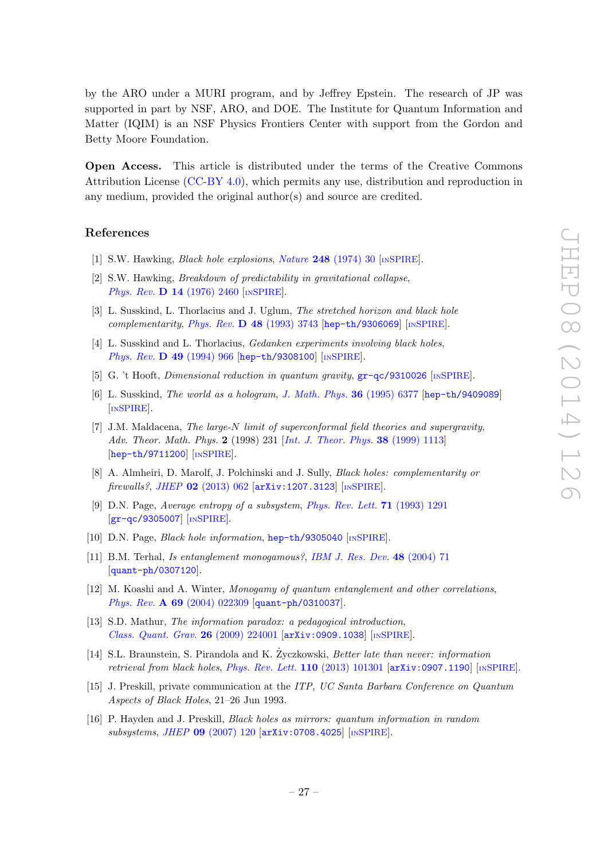by the ARO under a MURI program, and by Jeffrey Epstein. The research of JP was supported in part by NSF, ARO, and DOE. The Institute for Quantum Information and Matter (IQIM) is an NSF Physics Frontiers Center with support from the Gordon and Betty Moore Foundation.

Open Access. This article is distributed under the terms of the Creative Commons Attribution License [\(CC-BY 4.0\)](http://creativecommons.org/licenses/by/4.0/), which permits any use, distribution and reproduction in any medium, provided the original author(s) and source are credited.

# References

- <span id="page-27-0"></span>[1] S.W. Hawking, *Black hole explosions*, *Nature* **248** [\(1974\) 30](http://dx.doi.org/10.1038/248030a0) [IN[SPIRE](http://inspirehep.net/search?p=find+J+Nature,248,30)].
- <span id="page-27-1"></span>[2] S.W. Hawking, Breakdown of predictability in gravitational collapse, Phys. Rev. **D 14** [\(1976\) 2460](http://dx.doi.org/10.1103/PhysRevD.14.2460) [IN[SPIRE](http://inspirehep.net/search?p=find+J+Phys.Rev.,D14,2460)].
- <span id="page-27-2"></span>[3] L. Susskind, L. Thorlacius and J. Uglum, The stretched horizon and black hole complementarity, Phys. Rev.  $D$  48 [\(1993\) 3743](http://dx.doi.org/10.1103/PhysRevD.48.3743) [[hep-th/9306069](http://arxiv.org/abs/hep-th/9306069)] [IN[SPIRE](http://inspirehep.net/search?p=find+EPRINT+hep-th/9306069)].
- <span id="page-27-3"></span>[4] L. Susskind and L. Thorlacius, Gedanken experiments involving black holes, [Phys. Rev.](http://dx.doi.org/10.1103/PhysRevD.49.966) **D 49** (1994) 966 [[hep-th/9308100](http://arxiv.org/abs/hep-th/9308100)] [IN[SPIRE](http://inspirehep.net/search?p=find+EPRINT+hep-th/9308100)].
- <span id="page-27-4"></span>[5] G. 't Hooft, *Dimensional reduction in quantum gravity*,  $gr-qc/9310026$  [IN[SPIRE](http://inspirehep.net/search?p=find+EPRINT+gr-qc/9310026)].
- <span id="page-27-5"></span>[6] L. Susskind, The world as a hologram, [J. Math. Phys.](http://dx.doi.org/10.1063/1.531249) 36 (1995) 6377 [[hep-th/9409089](http://arxiv.org/abs/hep-th/9409089)] [IN[SPIRE](http://inspirehep.net/search?p=find+EPRINT+hep-th/9409089)].
- <span id="page-27-6"></span>[7] J.M. Maldacena, The large-N limit of superconformal field theories and supergravity, Adv. Theor. Math. Phys. 2 (1998) 231 [[Int. J. Theor. Phys.](http://dx.doi.org/10.1023/A:1026654312961) 38 (1999) 1113] [[hep-th/9711200](http://arxiv.org/abs/hep-th/9711200)] [IN[SPIRE](http://inspirehep.net/search?p=find+EPRINT+hep-th/9711200)].
- <span id="page-27-7"></span>[8] A. Almheiri, D. Marolf, J. Polchinski and J. Sully, Black holes: complementarity or firewalls?, JHEP 02 [\(2013\) 062](http://dx.doi.org/10.1007/JHEP02(2013)062) [[arXiv:1207.3123](http://arxiv.org/abs/1207.3123)] [IN[SPIRE](http://inspirehep.net/search?p=find+EPRINT+arXiv:1207.3123)].
- <span id="page-27-8"></span>[9] D.N. Page, Average entropy of a subsystem, [Phys. Rev. Lett.](http://dx.doi.org/10.1103/PhysRevLett.71.1291) 71 (1993) 1291 [[gr-qc/9305007](http://arxiv.org/abs/gr-qc/9305007)] [IN[SPIRE](http://inspirehep.net/search?p=find+EPRINT+gr-qc/9305007)].
- <span id="page-27-9"></span>[10] D.N. Page, *Black hole information*, [hep-th/9305040](http://arxiv.org/abs/hep-th/9305040) [IN[SPIRE](http://inspirehep.net/search?p=find+EPRINT+hep-th/9305040)].
- <span id="page-27-10"></span>[11] B.M. Terhal, Is entanglement monogamous?, [IBM J. Res. Dev.](http://dx.doi.org/10.1147/rd.481.0071) 48 (2004) 71 [[quant-ph/0307120](http://arxiv.org/abs/quant-ph/0307120)].
- <span id="page-27-11"></span>[12] M. Koashi and A. Winter, Monogamy of quantum entanglement and other correlations, Phys. Rev. A 69 [\(2004\) 022309](http://dx.doi.org/10.1103/PhysRevA.69.022309) [[quant-ph/0310037](http://arxiv.org/abs/quant-ph/0310037)].
- <span id="page-27-12"></span>[13] S.D. Mathur, *The information paradox: a pedagogical introduction*, [Class. Quant. Grav.](http://dx.doi.org/10.1088/0264-9381/26/22/224001) 26 (2009) 224001 [[arXiv:0909.1038](http://arxiv.org/abs/0909.1038)] [IN[SPIRE](http://inspirehep.net/search?p=find+EPRINT+arXiv:0909.1038)].
- <span id="page-27-13"></span>[14] S.L. Braunstein, S. Pirandola and K. Zyczkowski, *Better late than never: information* retrieval from black holes, [Phys. Rev. Lett.](http://dx.doi.org/10.1103/PhysRevLett.110.101301) 110 (2013) 101301 [[arXiv:0907.1190](http://arxiv.org/abs/0907.1190)] [IN[SPIRE](http://inspirehep.net/search?p=find+J+Phys.Rev.Lett.,110,101301)].
- <span id="page-27-14"></span>[15] J. Preskill, private communication at the ITP, UC Santa Barbara Conference on Quantum Aspects of Black Holes, 21–26 Jun 1993.
- <span id="page-27-15"></span>[16] P. Hayden and J. Preskill, Black holes as mirrors: quantum information in random subsystems, JHEP 09 [\(2007\) 120](http://dx.doi.org/10.1088/1126-6708/2007/09/120) [[arXiv:0708.4025](http://arxiv.org/abs/0708.4025)] [IN[SPIRE](http://inspirehep.net/search?p=find+EPRINT+arXiv:0708.4025)].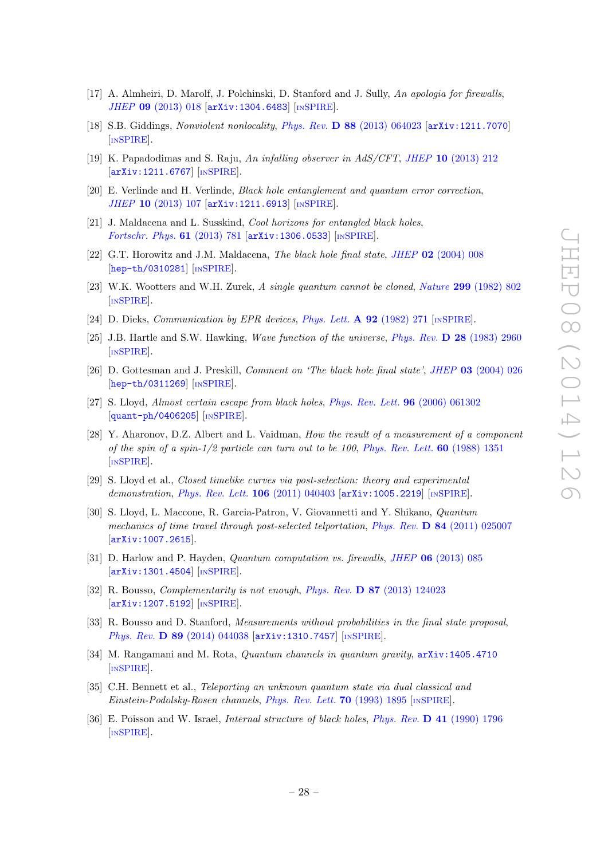- <span id="page-28-0"></span>[17] A. Almheiri, D. Marolf, J. Polchinski, D. Stanford and J. Sully, An apologia for firewalls, JHEP 09 [\(2013\) 018](http://dx.doi.org/10.1007/JHEP09(2013)018) [[arXiv:1304.6483](http://arxiv.org/abs/1304.6483)] [IN[SPIRE](http://inspirehep.net/search?p=find+EPRINT+arXiv:1304.6483)].
- <span id="page-28-1"></span>[18] S.B. Giddings, Nonviolent nonlocality, Phys. Rev. D 88 [\(2013\) 064023](http://dx.doi.org/10.1103/PhysRevD.88.064023) [[arXiv:1211.7070](http://arxiv.org/abs/1211.7070)] [IN[SPIRE](http://inspirehep.net/search?p=find+EPRINT+arXiv:1211.7070)].
- <span id="page-28-2"></span>[19] K. Papadodimas and S. Raju, An infalling observer in AdS/CFT, JHEP 10 [\(2013\) 212](http://dx.doi.org/10.1007/JHEP10(2013)212) [[arXiv:1211.6767](http://arxiv.org/abs/1211.6767)] [IN[SPIRE](http://inspirehep.net/search?p=find+EPRINT+arXiv:1211.6767)].
- <span id="page-28-3"></span>[20] E. Verlinde and H. Verlinde, Black hole entanglement and quantum error correction, JHEP 10 [\(2013\) 107](http://dx.doi.org/10.1007/JHEP10(2013)107) [[arXiv:1211.6913](http://arxiv.org/abs/1211.6913)] [IN[SPIRE](http://inspirehep.net/search?p=find+EPRINT+arXiv:1211.6913)].
- <span id="page-28-4"></span>[21] J. Maldacena and L. Susskind, Cool horizons for entangled black holes, [Fortschr. Phys.](http://dx.doi.org/10.1002/prop.201300020) 61 (2013) 781 [[arXiv:1306.0533](http://arxiv.org/abs/1306.0533)] [IN[SPIRE](http://inspirehep.net/search?p=find+EPRINT+arXiv:1306.0533)].
- <span id="page-28-5"></span>[22] G.T. Horowitz and J.M. Maldacena, *The black hole final state, JHEP* 02 [\(2004\) 008](http://dx.doi.org/10.1088/1126-6708/2004/02/008) [[hep-th/0310281](http://arxiv.org/abs/hep-th/0310281)] [IN[SPIRE](http://inspirehep.net/search?p=find+EPRINT+hep-th/0310281)].
- <span id="page-28-6"></span>[23] W.K. Wootters and W.H. Zurek, A single quantum cannot be cloned, Nature 299 [\(1982\) 802](http://dx.doi.org/10.1038/299802a0) [IN[SPIRE](http://inspirehep.net/search?p=find+J+Nature,299,802)].
- <span id="page-28-7"></span>[24] D. Dieks, *Communication by EPR devices, [Phys. Lett.](http://dx.doi.org/10.1016/0375-9601(82)90084-6)* A  $92$  (1982) 271 [IN[SPIRE](http://inspirehep.net/search?p=find+J+Phys.Lett.,A92,271)].
- <span id="page-28-8"></span>[25] J.B. Hartle and S.W. Hawking, Wave function of the universe, Phys. Rev. D 28 [\(1983\) 2960](http://dx.doi.org/10.1103/PhysRevD.28.2960) [IN[SPIRE](http://inspirehep.net/search?p=find+J+Phys.Rev.,D28,2960)].
- <span id="page-28-9"></span>[26] D. Gottesman and J. Preskill, Comment on 'The black hole final state', JHEP 03 [\(2004\) 026](http://dx.doi.org/10.1088/1126-6708/2004/03/026) [[hep-th/0311269](http://arxiv.org/abs/hep-th/0311269)] [IN[SPIRE](http://inspirehep.net/search?p=find+EPRINT+hep-th/0311269)].
- <span id="page-28-10"></span>[27] S. Lloyd, Almost certain escape from black holes, [Phys. Rev. Lett.](http://dx.doi.org/10.1103/PhysRevLett.96.061302) 96 (2006) 061302 [[quant-ph/0406205](http://arxiv.org/abs/quant-ph/0406205)] [IN[SPIRE](http://inspirehep.net/search?p=find+EPRINT+quant-ph/0406205)].
- <span id="page-28-11"></span>[28] Y. Aharonov, D.Z. Albert and L. Vaidman, How the result of a measurement of a component of the spin of a spin- $1/2$  particle can turn out to be 100, [Phys. Rev. Lett.](http://dx.doi.org/10.1103/PhysRevLett.60.1351) 60 (1988) 1351 [IN[SPIRE](http://inspirehep.net/search?p=find+J+Phys.Rev.Lett.,60,1351)].
- <span id="page-28-18"></span>[29] S. Lloyd et al., Closed timelike curves via post-selection: theory and experimental demonstration, *[Phys. Rev. Lett.](http://dx.doi.org/10.1103/PhysRevLett.106.040403)* **106** (2011) 040403 [[arXiv:1005.2219](http://arxiv.org/abs/1005.2219)] [IN[SPIRE](http://inspirehep.net/search?p=find+EPRINT+arXiv:1005.2219)].
- <span id="page-28-12"></span>[30] S. Lloyd, L. Maccone, R. Garcia-Patron, V. Giovannetti and Y. Shikano, Quantum mechanics of time travel through post-selected telportation, Phys. Rev. D 84 [\(2011\) 025007](http://dx.doi.org/10.1103/PhysRevD.84.025007) [[arXiv:1007.2615](http://arxiv.org/abs/1007.2615)].
- <span id="page-28-13"></span>[31] D. Harlow and P. Hayden, *Quantum computation vs. firewalls, JHEP* **06** [\(2013\) 085](http://dx.doi.org/10.1007/JHEP06(2013)085) [[arXiv:1301.4504](http://arxiv.org/abs/1301.4504)] [IN[SPIRE](http://inspirehep.net/search?p=find+EPRINT+arXiv:1301.4504)].
- <span id="page-28-14"></span>[32] R. Bousso, Complementarity is not enough, Phys. Rev. D 87 [\(2013\) 124023](http://dx.doi.org/10.1103/PhysRevD.87.124023) [[arXiv:1207.5192](http://arxiv.org/abs/1207.5192)] [IN[SPIRE](http://inspirehep.net/search?p=find+EPRINT+arXiv:1207.5192)].
- <span id="page-28-19"></span>[33] R. Bousso and D. Stanford, *Measurements without probabilities in the final state proposal*, Phys. Rev. D 89 [\(2014\) 044038](http://dx.doi.org/10.1103/PhysRevD.89.044038) [[arXiv:1310.7457](http://arxiv.org/abs/1310.7457)] [IN[SPIRE](http://inspirehep.net/search?p=find+EPRINT+arXiv:1310.7457)].
- <span id="page-28-15"></span>[34] M. Rangamani and M. Rota, *Quantum channels in quantum gravity*,  $arXiv:1405.4710$ [IN[SPIRE](http://inspirehep.net/search?p=find+EPRINT+arXiv:1405.4710)].
- <span id="page-28-16"></span>[35] C.H. Bennett et al., Teleporting an unknown quantum state via dual classical and Einstein-Podolsky-Rosen channels, [Phys. Rev. Lett.](http://dx.doi.org/10.1103/PhysRevLett.70.1895) 70 (1993) 1895 [IN[SPIRE](http://inspirehep.net/search?p=find+J+Phys.Rev.Lett.,70,1895)].
- <span id="page-28-17"></span>[36] E. Poisson and W. Israel, *Internal structure of black holes, Phys. Rev.* **D** 41 [\(1990\) 1796](http://dx.doi.org/10.1103/PhysRevD.41.1796) [IN[SPIRE](http://inspirehep.net/search?p=find+J+Phys.Rev.,D41,1796)].